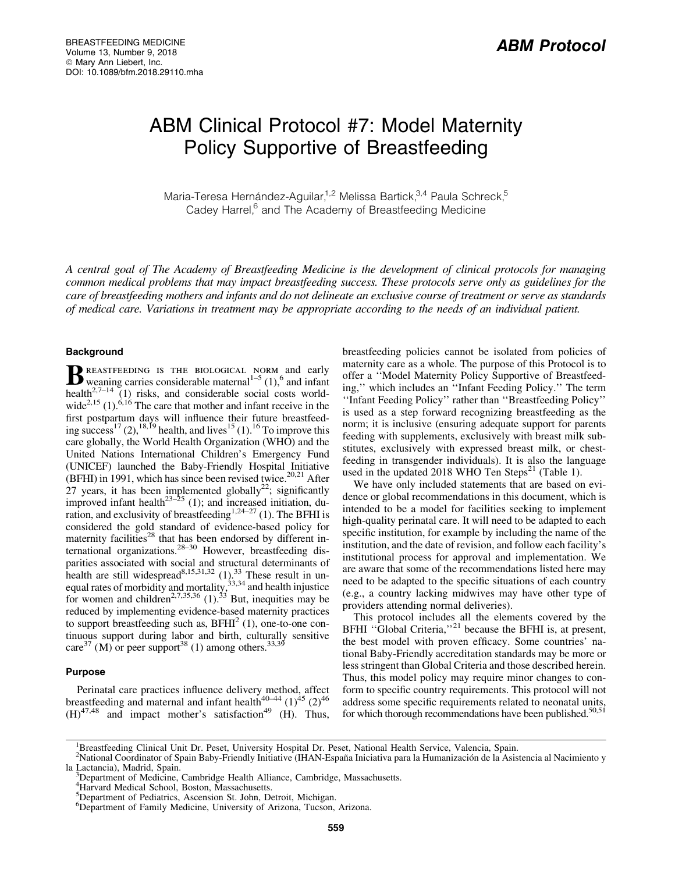# ABM Clinical Protocol #7: Model Maternity Policy Supportive of Breastfeeding

Maria-Teresa Hernández-Aguilar,<sup>1,2</sup> Melissa Bartick,<sup>3,4</sup> Paula Schreck,<sup>5</sup> Cadey Harrel,<sup>6</sup> and The Academy of Breastfeeding Medicine

*A central goal of The Academy of Breastfeeding Medicine is the development of clinical protocols for managing common medical problems that may impact breastfeeding success. These protocols serve only as guidelines for the care of breastfeeding mothers and infants and do not delineate an exclusive course of treatment or serve as standards of medical care. Variations in treatment may be appropriate according to the needs of an individual patient.*

# **Background**

**B** REASTFEEDING IS THE BIOLOGICAL NORM and early weaning carries considerable maternal<sup>1–5</sup> (1),<sup>6</sup> and infant health<sup>2,7–14</sup> (1) risks, and considerable social costs worldwide<sup>2,15</sup> (1).<sup>6,16</sup> The care that mother and infant receive in the first postpartum days will influence their future breastfeeding success<sup>17</sup> (2),<sup>18,19</sup> health, and lives<sup>15</sup> (1).<sup>16</sup> To improve this care globally, the World Health Organization (WHO) and the United Nations International Children's Emergency Fund (UNICEF) launched the Baby-Friendly Hospital Initiative (BFHI) in 1991, which has since been revised twice.<sup>20,21</sup> After 27 years, it has been implemented globally<sup>22</sup>; significantly improved infant health<sup>23–25</sup> (1); and increased initiation, duration, and exclusivity of breastfeeding<sup>1,24–27</sup> (1). The BFHI is considered the gold standard of evidence-based policy for maternity facilities<sup>28</sup> that has been endorsed by different international organizations.<sup>28–30</sup> However, breastfeeding disparities associated with social and structural determinants of health are still widespread<sup>8,15,31,32</sup> (1).<sup>33</sup> These result in unequal rates of morbidity and mortality, 33,34 and health injustice for women and children<sup>2,7,35,36</sup> (1).<sup>33</sup> But, inequities may be reduced by implementing evidence-based maternity practices to support breastfeeding such as,  $BFHI<sup>2</sup>$  (1), one-to-one continuous support during labor and birth, culturally sensitive care<sup>37</sup> (M) or peer support<sup>38</sup> (1) among others.<sup>33,39</sup>

# Purpose

Perinatal care practices influence delivery method, affect breastfeeding and maternal and infant health<sup>40–44</sup>  $(1)^{45}$   $(2)^{46}$  $(H)$ <sup>47,48</sup> and impact mother's satisfaction<sup>49</sup> (H). Thus, breastfeeding policies cannot be isolated from policies of maternity care as a whole. The purpose of this Protocol is to offer a ''Model Maternity Policy Supportive of Breastfeeding,'' which includes an ''Infant Feeding Policy.'' The term ''Infant Feeding Policy'' rather than ''Breastfeeding Policy'' is used as a step forward recognizing breastfeeding as the norm; it is inclusive (ensuring adequate support for parents feeding with supplements, exclusively with breast milk substitutes, exclusively with expressed breast milk, or chestfeeding in transgender individuals). It is also the language used in the updated 2018 WHO Ten Steps<sup>21</sup> (Table 1).

We have only included statements that are based on evidence or global recommendations in this document, which is intended to be a model for facilities seeking to implement high-quality perinatal care. It will need to be adapted to each specific institution, for example by including the name of the institution, and the date of revision, and follow each facility's institutional process for approval and implementation. We are aware that some of the recommendations listed here may need to be adapted to the specific situations of each country (e.g., a country lacking midwives may have other type of providers attending normal deliveries).

This protocol includes all the elements covered by the BFHI "Global Criteria,"<sup>21</sup> because the BFHI is, at present, the best model with proven efficacy. Some countries' national Baby-Friendly accreditation standards may be more or less stringent than Global Criteria and those described herein. Thus, this model policy may require minor changes to conform to specific country requirements. This protocol will not address some specific requirements related to neonatal units, for which thorough recommendations have been published. $50,51$ 

<sup>1</sup>Breastfeeding Clinical Unit Dr. Peset, University Hospital Dr. Peset, National Health Service, Valencia, Spain.

<sup>2</sup> National Coordinator of Spain Baby-Friendly Initiative (IHAN-España Iniciativa para la Humanización de la Asistencia al Nacimiento y la Lactancia), Madrid, Spain.

<sup>&</sup>lt;sup>3</sup>Department of Medicine, Cambridge Health Alliance, Cambridge, Massachusetts.

<sup>4</sup> Harvard Medical School, Boston, Massachusetts.

<sup>5</sup> Department of Pediatrics, Ascension St. John, Detroit, Michigan.

<sup>6</sup> Department of Family Medicine, University of Arizona, Tucson, Arizona.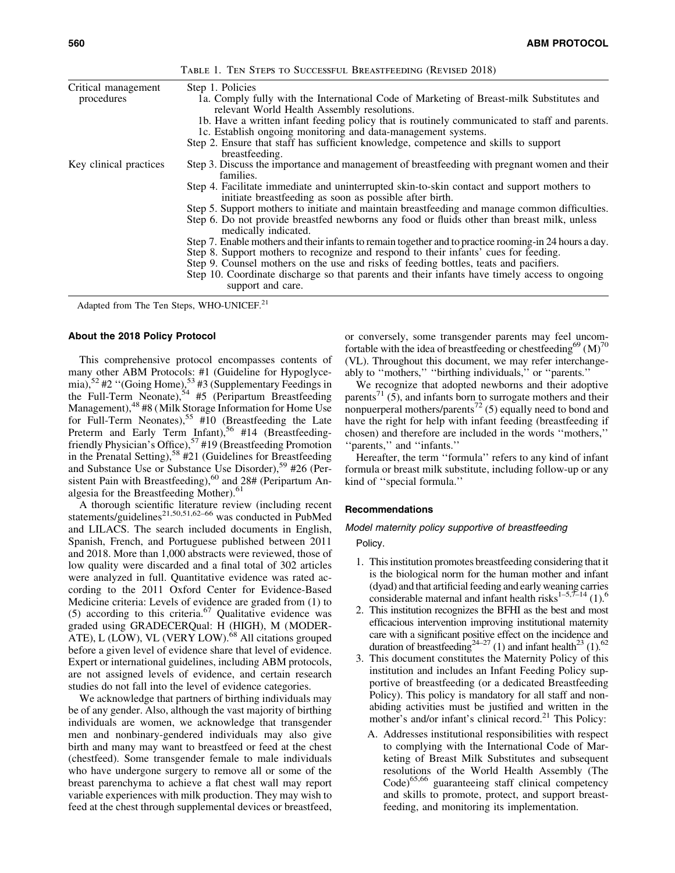| Critical management<br>procedures | Step 1. Policies<br>1a. Comply fully with the International Code of Marketing of Breast-milk Substitutes and<br>relevant World Health Assembly resolutions.<br>1b. Have a written infant feeding policy that is routinely communicated to staff and parents. |
|-----------------------------------|--------------------------------------------------------------------------------------------------------------------------------------------------------------------------------------------------------------------------------------------------------------|
|                                   | 1c. Establish ongoing monitoring and data-management systems.                                                                                                                                                                                                |
|                                   | Step 2. Ensure that staff has sufficient knowledge, competence and skills to support<br>breastfeeding.                                                                                                                                                       |
| Key clinical practices            | Step 3. Discuss the importance and management of breastfeeding with pregnant women and their<br>families.                                                                                                                                                    |
|                                   | Step 4. Facilitate immediate and uninterrupted skin-to-skin contact and support mothers to<br>initiate breastfeeding as soon as possible after birth.                                                                                                        |
|                                   | Step 5. Support mothers to initiate and maintain breastfeeding and manage common difficulties.<br>Step 6. Do not provide breastfed newborns any food or fluids other than breast milk, unless<br>medically indicated.                                        |
|                                   | Step 7. Enable mothers and their infants to remain together and to practice rooming-in 24 hours a day.<br>Step 8. Support mothers to recognize and respond to their infants' cues for feeding.                                                               |
|                                   | Step 9. Counsel mothers on the use and risks of feeding bottles, teats and pacifiers.<br>Step 10. Coordinate discharge so that parents and their infants have timely access to ongoing<br>support and care.                                                  |

Table 1. Ten Steps to Successful Breastfeeding (Revised 2018)

Adapted from The Ten Steps, WHO-UNICEF.<sup>21</sup>

#### About the 2018 Policy Protocol

This comprehensive protocol encompasses contents of many other ABM Protocols: #1 (Guideline for Hypoglycemia),<sup>52</sup> #2 "(Going Home),<sup>53</sup> #3 (Supplementary Feedings in the Full-Term Neonate),  $54$  #5 (Peripartum Breastfeeding Management), <sup>48</sup> #8 (Milk Storage Information for Home Use for Full-Term Neonates),  $55$  #10 (Breastfeeding the Late Preterm and Early Term Infant),<sup>56</sup> #14 (Breastfeedingfriendly Physician's Office),  $57$  #19 (Breastfeeding Promotion in the Prenatal Setting),  $58 \#21$  (Guidelines for Breastfeeding and Substance Use or Substance Use Disorder),  $59$  #26 (Persistent Pain with Breastfeeding),  $60$  and 28# (Peripartum Analgesia for the Breastfeeding Mother).<sup>61</sup>

A thorough scientific literature review (including recent statements/guidelines<sup>21,50,51,62–66</sup> was conducted in PubMed and LILACS. The search included documents in English, Spanish, French, and Portuguese published between 2011 and 2018. More than 1,000 abstracts were reviewed, those of low quality were discarded and a final total of 302 articles were analyzed in full. Quantitative evidence was rated according to the 2011 Oxford Center for Evidence-Based Medicine criteria: Levels of evidence are graded from (1) to (5) according to this criteria.<sup>67</sup> Qualitative evidence was graded using GRADECERQual: H (HIGH), M (MODER-ATE), L (LOW), VL (VERY LOW). $^{68}$  All citations grouped before a given level of evidence share that level of evidence. Expert or international guidelines, including ABM protocols, are not assigned levels of evidence, and certain research studies do not fall into the level of evidence categories.

We acknowledge that partners of birthing individuals may be of any gender. Also, although the vast majority of birthing individuals are women, we acknowledge that transgender men and nonbinary-gendered individuals may also give birth and many may want to breastfeed or feed at the chest (chestfeed). Some transgender female to male individuals who have undergone surgery to remove all or some of the breast parenchyma to achieve a flat chest wall may report variable experiences with milk production. They may wish to feed at the chest through supplemental devices or breastfeed,

or conversely, some transgender parents may feel uncomfortable with the idea of breastfeeding or chestfeeding<sup>69</sup>  $(M)^{70}$ (VL). Throughout this document, we may refer interchangeably to ''mothers,'' ''birthing individuals,'' or ''parents.''

We recognize that adopted newborns and their adoptive parents<sup> $1$ </sup> (5), and infants born to surrogate mothers and their nonpuerperal mothers/parents<sup> $2$ </sup> (5) equally need to bond and have the right for help with infant feeding (breastfeeding if chosen) and therefore are included in the words ''mothers,'' ''parents,'' and ''infants.''

Hereafter, the term ''formula'' refers to any kind of infant formula or breast milk substitute, including follow-up or any kind of ''special formula.''

#### Recommendations

Model maternity policy supportive of breastfeeding

Policy.

- 1. This institution promotes breastfeeding considering that it is the biological norm for the human mother and infant (dyad) and that artificial feeding and early weaning carries considerable maternal and infant health risks<sup>1-5,7-14</sup> (1).<sup>6</sup>
- 2. This institution recognizes the BFHI as the best and most efficacious intervention improving institutional maternity care with a significant positive effect on the incidence and duration of breastfeeding<sup>24–27</sup> (1) and infant health<sup>23</sup> (1).<sup>62</sup>
- 3. This document constitutes the Maternity Policy of this institution and includes an Infant Feeding Policy supportive of breastfeeding (or a dedicated Breastfeeding Policy). This policy is mandatory for all staff and nonabiding activities must be justified and written in the mother's and/or infant's clinical record.<sup>21</sup> This Policy:
	- A. Addresses institutional responsibilities with respect to complying with the International Code of Marketing of Breast Milk Substitutes and subsequent resolutions of the World Health Assembly (The Code)<sup>65,66</sup> guaranteeing staff clinical competency and skills to promote, protect, and support breastfeeding, and monitoring its implementation.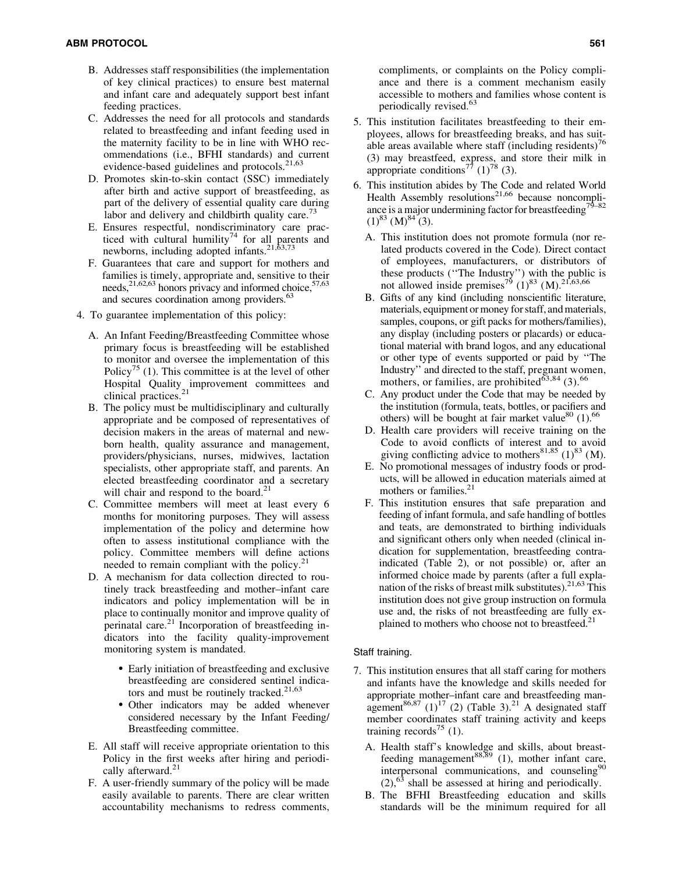- B. Addresses staff responsibilities (the implementation of key clinical practices) to ensure best maternal and infant care and adequately support best infant feeding practices.
- C. Addresses the need for all protocols and standards related to breastfeeding and infant feeding used in the maternity facility to be in line with WHO recommendations (i.e., BFHI standards) and current evidence-based guidelines and protocols.<sup>21,63</sup>
- D. Promotes skin-to-skin contact (SSC) immediately after birth and active support of breastfeeding, as part of the delivery of essential quality care during labor and delivery and childbirth quality care.<sup> $\frac{7}{3}$ </sup>
- E. Ensures respectful, nondiscriminatory care practiced with cultural humility<sup>74</sup> for all parents and newborns, including adopted infants.  $2^{1,63,73}$
- F. Guarantees that care and support for mothers and families is timely, appropriate and, sensitive to their needs,<sup>21,62,63</sup> honors privacy and informed choice,<sup>57,63</sup> and secures coordination among providers.<sup>63</sup>
- 4. To guarantee implementation of this policy:
	- A. An Infant Feeding/Breastfeeding Committee whose primary focus is breastfeeding will be established to monitor and oversee the implementation of this Policy<sup>75</sup> (1). This committee is at the level of other Hospital Quality improvement committees and clinical practices.<sup>21</sup>
	- B. The policy must be multidisciplinary and culturally appropriate and be composed of representatives of decision makers in the areas of maternal and newborn health, quality assurance and management, providers/physicians, nurses, midwives, lactation specialists, other appropriate staff, and parents. An elected breastfeeding coordinator and a secretary will chair and respond to the board.<sup>21</sup>
	- C. Committee members will meet at least every 6 months for monitoring purposes. They will assess implementation of the policy and determine how often to assess institutional compliance with the policy. Committee members will define actions needed to remain compliant with the policy. $2<sup>1</sup>$
	- D. A mechanism for data collection directed to routinely track breastfeeding and mother–infant care indicators and policy implementation will be in place to continually monitor and improve quality of perinatal care. $21$  Incorporation of breastfeeding indicators into the facility quality-improvement monitoring system is mandated.
		- Early initiation of breastfeeding and exclusive breastfeeding are considered sentinel indicators and must be routinely tracked. $21,63$
		- Other indicators may be added whenever considered necessary by the Infant Feeding/ Breastfeeding committee.
	- E. All staff will receive appropriate orientation to this Policy in the first weeks after hiring and periodically afterward.<sup>21</sup>
	- F. A user-friendly summary of the policy will be made easily available to parents. There are clear written accountability mechanisms to redress comments,

compliments, or complaints on the Policy compliance and there is a comment mechanism easily accessible to mothers and families whose content is periodically revised.<sup>63</sup>

- 5. This institution facilitates breastfeeding to their employees, allows for breastfeeding breaks, and has suitable areas available where staff (including residents)<sup>76</sup> (3) may breastfeed, express, and store their milk in appropriate conditions<sup>77</sup> (1)<sup>78</sup> (3).
- 6. This institution abides by The Code and related World Health Assembly resolutions<sup>21,66</sup> because noncompliance is a major undermining factor for breastfeeding<sup>79–82</sup>  $(1)^{83}$   $(M)^{84}$  (3).
	- A. This institution does not promote formula (nor related products covered in the Code). Direct contact of employees, manufacturers, or distributors of these products (''The Industry'') with the public is not allowed inside premises<sup>79</sup> (1)<sup>83</sup> (M).<sup>21,63,66</sup>
	- B. Gifts of any kind (including nonscientific literature, materials, equipment or money for staff, and materials, samples, coupons, or gift packs for mothers/families), any display (including posters or placards) or educational material with brand logos, and any educational or other type of events supported or paid by ''The Industry'' and directed to the staff, pregnant women, mothers, or families, are prohibited $^{63,84}$  (3).<sup>66</sup>
	- C. Any product under the Code that may be needed by the institution (formula, teats, bottles, or pacifiers and others) will be bought at fair market value $80$  (1). $66$
	- D. Health care providers will receive training on the Code to avoid conflicts of interest and to avoid giving conflicting advice to mothers<sup>81,85</sup> (1)<sup>83</sup> (M).
	- E. No promotional messages of industry foods or products, will be allowed in education materials aimed at mothers or families.<sup>21</sup>
	- F. This institution ensures that safe preparation and feeding of infant formula, and safe handling of bottles and teats, are demonstrated to birthing individuals and significant others only when needed (clinical indication for supplementation, breastfeeding contraindicated (Table 2), or not possible) or, after an informed choice made by parents (after a full explanation of the risks of breast milk substitutes).  $2^{1,63}$  This institution does not give group instruction on formula use and, the risks of not breastfeeding are fully explained to mothers who choose not to breastfeed. $2<sup>1</sup>$

# Staff training.

- 7. This institution ensures that all staff caring for mothers and infants have the knowledge and skills needed for appropriate mother–infant care and breastfeeding management<sup>86,87</sup> (1)<sup>17</sup> (2) (Table 3).<sup>21</sup> A designated staff member coordinates staff training activity and keeps training records<sup>75</sup> (1).
	- A. Health staff's knowledge and skills, about breastfeeding management<sup>88,89</sup> (1), mother infant care, interpersonal communications, and counseling<sup>90</sup>  $(2)$ ,<sup>63</sup> shall be assessed at hiring and periodically.
	- B. The BFHI Breastfeeding education and skills standards will be the minimum required for all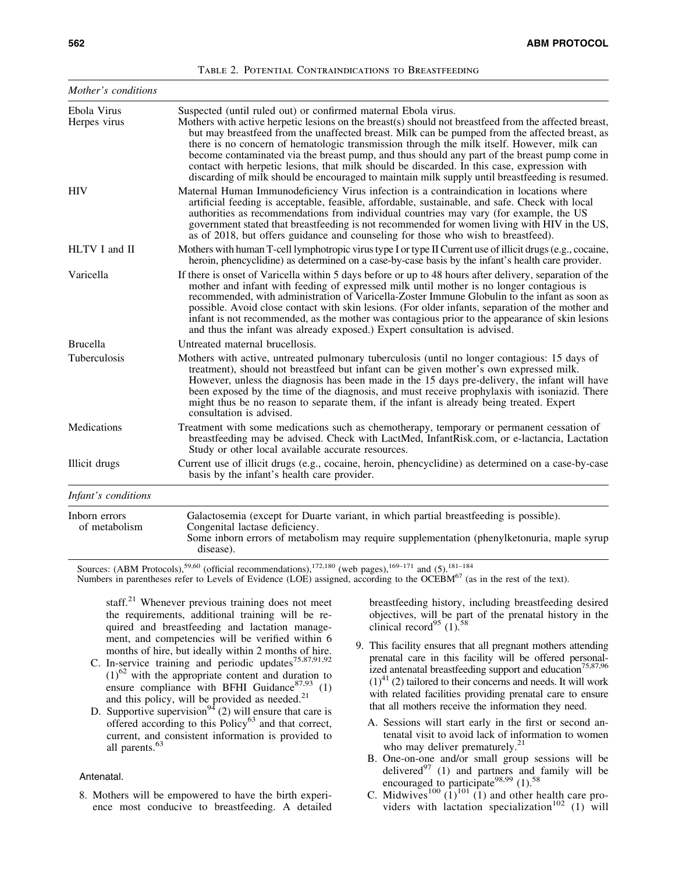| Mother's conditions            |                                                                                                                                                                                                                                                                                                                                                                                                                                                                                                                                                                                                                                                                           |  |
|--------------------------------|---------------------------------------------------------------------------------------------------------------------------------------------------------------------------------------------------------------------------------------------------------------------------------------------------------------------------------------------------------------------------------------------------------------------------------------------------------------------------------------------------------------------------------------------------------------------------------------------------------------------------------------------------------------------------|--|
| Ebola Virus<br>Herpes virus    | Suspected (until ruled out) or confirmed maternal Ebola virus.<br>Mothers with active herpetic lesions on the breast(s) should not breastfeed from the affected breast,<br>but may breastfeed from the unaffected breast. Milk can be pumped from the affected breast, as<br>there is no concern of hematologic transmission through the milk itself. However, milk can<br>become contaminated via the breast pump, and thus should any part of the breast pump come in<br>contact with herpetic lesions, that milk should be discarded. In this case, expression with<br>discarding of milk should be encouraged to maintain milk supply until breastfeeding is resumed. |  |
| <b>HIV</b>                     | Maternal Human Immunodeficiency Virus infection is a contraindication in locations where<br>artificial feeding is acceptable, feasible, affordable, sustainable, and safe. Check with local<br>authorities as recommendations from individual countries may vary (for example, the US<br>government stated that breastfeeding is not recommended for women living with HIV in the US,<br>as of 2018, but offers guidance and counseling for those who wish to breastfeed).                                                                                                                                                                                                |  |
| HLTV I and II                  | Mothers with human T-cell lymphotropic virus type I or type II Current use of illicit drugs (e.g., cocaine,<br>heroin, phencyclidine) as determined on a case-by-case basis by the infant's health care provider.                                                                                                                                                                                                                                                                                                                                                                                                                                                         |  |
| Varicella                      | If there is onset of Varicella within 5 days before or up to 48 hours after delivery, separation of the<br>mother and infant with feeding of expressed milk until mother is no longer contagious is<br>recommended, with administration of Varicella-Zoster Immune Globulin to the infant as soon as<br>possible. Avoid close contact with skin lesions. (For older infants, separation of the mother and<br>infant is not recommended, as the mother was contagious prior to the appearance of skin lesions<br>and thus the infant was already exposed.) Expert consultation is advised.                                                                                 |  |
| <b>Brucella</b>                | Untreated maternal brucellosis.                                                                                                                                                                                                                                                                                                                                                                                                                                                                                                                                                                                                                                           |  |
| Tuberculosis                   | Mothers with active, untreated pulmonary tuberculosis (until no longer contagious: 15 days of<br>treatment), should not breastfeed but infant can be given mother's own expressed milk.<br>However, unless the diagnosis has been made in the 15 days pre-delivery, the infant will have<br>been exposed by the time of the diagnosis, and must receive prophylaxis with isoniazid. There<br>might thus be no reason to separate them, if the infant is already being treated. Expert<br>consultation is advised.                                                                                                                                                         |  |
| Medications                    | Treatment with some medications such as chemotherapy, temporary or permanent cessation of<br>breastfeeding may be advised. Check with LactMed, InfantRisk.com, or e-lactancia, Lactation<br>Study or other local available accurate resources.                                                                                                                                                                                                                                                                                                                                                                                                                            |  |
| Illicit drugs                  | Current use of illicit drugs (e.g., cocaine, heroin, phencyclidine) as determined on a case-by-case<br>basis by the infant's health care provider.                                                                                                                                                                                                                                                                                                                                                                                                                                                                                                                        |  |
| Infant's conditions            |                                                                                                                                                                                                                                                                                                                                                                                                                                                                                                                                                                                                                                                                           |  |
| Inborn errors<br>of metabolism | Galactosemia (except for Duarte variant, in which partial breastfeeding is possible).<br>Congenital lactase deficiency.<br>Some inborn errors of metabolism may require supplementation (phenylketonuria, maple syrup<br>disease).                                                                                                                                                                                                                                                                                                                                                                                                                                        |  |

Table 2. Potential Contraindications to Breastfeeding

Sources:  $(ABM$  Protocols),<sup>59,60</sup> (official recommendations),<sup>172,180</sup> (web pages),<sup>169–171</sup> and (5).<sup>181–184</sup> Numbers in parentheses refer to Levels of Evidence (LOE) assigned, according to the OCEBM<sup>67</sup> (as in the rest of the text).

staff. $21$  Whenever previous training does not meet the requirements, additional training will be required and breastfeeding and lactation management, and competencies will be verified within 6 months of hire, but ideally within 2 months of hire.

- C. In-service training and periodic updates $75,87,91,92$  $(1)^{62}$  with the appropriate content and duration to ensure compliance with BFHI Guidance $87,93$  (1) and this policy, will be provided as needed. $21$
- D. Supportive supervision<sup>94</sup> (2) will ensure that care is offered according to this Policy<sup>63</sup> and that correct, current, and consistent information is provided to all parents.<sup>63</sup>

# Antenatal.

8. Mothers will be empowered to have the birth experience most conducive to breastfeeding. A detailed breastfeeding history, including breastfeeding desired objectives, will be part of the prenatal history in the clinical record<sup>95</sup>  $(1)$ <sup>58</sup>

- 9. This facility ensures that all pregnant mothers attending prenatal care in this facility will be offered personalized antenatal breastfeeding support and education<sup>75,87,96</sup>  $(1)^{41}$  (2) tailored to their concerns and needs. It will work with related facilities providing prenatal care to ensure that all mothers receive the information they need.
	- A. Sessions will start early in the first or second antenatal visit to avoid lack of information to women who may deliver prematurely.<sup>21</sup>
	- B. One-on-one and/or small group sessions will be delivered<sup>97</sup> (1) and partners and family will be encouraged to participate<sup>98,99</sup> (1).<sup>58</sup>
	- C. Midwives<sup>100</sup> (1)<sup>101</sup> (1) and other health care providers with lactation specialization<sup>102</sup> (1) will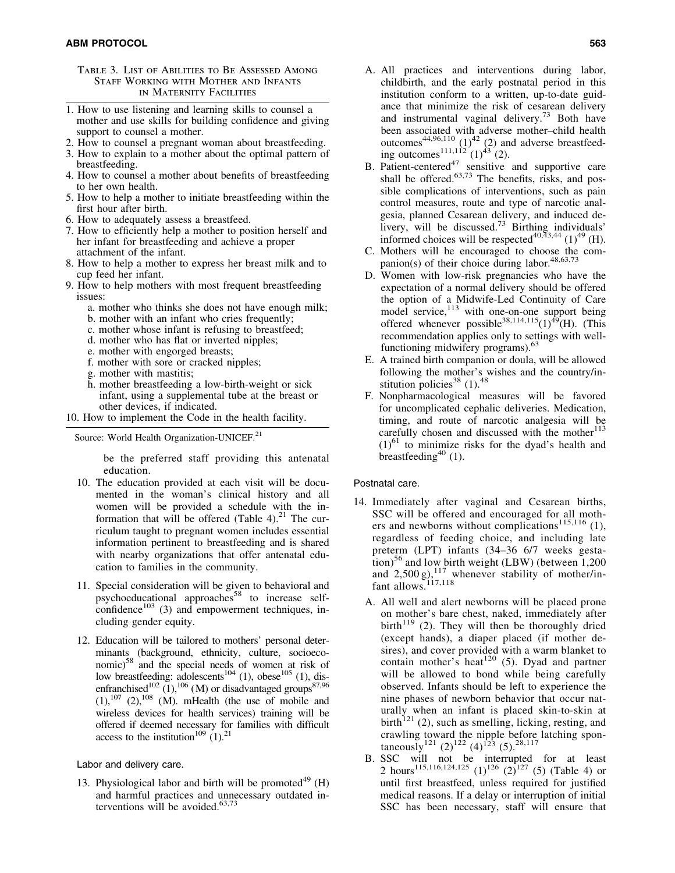#### Table 3. List of Abilities to Be Assessed Among Staff Working with Mother and Infants in Maternity Facilities

- 1. How to use listening and learning skills to counsel a mother and use skills for building confidence and giving support to counsel a mother.
- 2. How to counsel a pregnant woman about breastfeeding.
- 3. How to explain to a mother about the optimal pattern of breastfeeding.
- 4. How to counsel a mother about benefits of breastfeeding to her own health.
- 5. How to help a mother to initiate breastfeeding within the first hour after birth.
- 6. How to adequately assess a breastfeed.
- 7. How to efficiently help a mother to position herself and her infant for breastfeeding and achieve a proper attachment of the infant.
- 8. How to help a mother to express her breast milk and to cup feed her infant.
- 9. How to help mothers with most frequent breastfeeding issues:
	- a. mother who thinks she does not have enough milk;
	- b. mother with an infant who cries frequently;
	- c. mother whose infant is refusing to breastfeed;
	- d. mother who has flat or inverted nipples;
	- e. mother with engorged breasts;
	- f. mother with sore or cracked nipples;
	- g. mother with mastitis;
	- h. mother breastfeeding a low-birth-weight or sick infant, using a supplemental tube at the breast or other devices, if indicated.
- 10. How to implement the Code in the health facility.

Source: World Health Organization-UNICEF.<sup>21</sup>

be the preferred staff providing this antenatal education.

- 10. The education provided at each visit will be documented in the woman's clinical history and all women will be provided a schedule with the information that will be offered (Table 4). $^{21}$  The curriculum taught to pregnant women includes essential information pertinent to breastfeeding and is shared with nearby organizations that offer antenatal education to families in the community.
- 11. Special consideration will be given to behavioral and psychoeducational approaches<sup>58</sup> to increase selfconfidence<sup>103</sup> (3) and empowerment techniques, including gender equity.
- 12. Education will be tailored to mothers' personal determinants (background, ethnicity, culture, socioeconomic)58 and the special needs of women at risk of low breastfeeding: adolescents<sup>104</sup> (1), obese<sup>105</sup> (1), disenfranchised<sup>102</sup> (1),<sup>106</sup> (M) or disadvantaged groups<sup>87,96</sup>  $(1)$ ,<sup>107</sup>  $(2)$ ,<sup>108</sup>  $(M)$ . mHealth (the use of mobile and wireless devices for health services) training will be offered if deemed necessary for families with difficult access to the institution<sup>109</sup>  $(1).^{21}$

Labor and delivery care.

13. Physiological labor and birth will be promoted<sup>49</sup> (H) and harmful practices and unnecessary outdated interventions will be avoided. $63,73$ 

- A. All practices and interventions during labor, childbirth, and the early postnatal period in this institution conform to a written, up-to-date guidance that minimize the risk of cesarean delivery and instrumental vaginal delivery.<sup>73</sup> Both have been associated with adverse mother–child health outcomes<sup>44,96,110</sup>  $(1)^{42}$  (2) and adverse breastfeeding outcomes<sup>111,112</sup> (1)<sup>43</sup> (2).
- B. Patient-centered $47$  sensitive and supportive care shall be offered. $63,73$  The benefits, risks, and possible complications of interventions, such as pain control measures, route and type of narcotic analgesia, planned Cesarean delivery, and induced delivery, will be discussed.<sup>73</sup> Birthing individuals' informed choices will be respected<sup>40,43,44</sup> (1)<sup>49</sup> (H).
- C. Mothers will be encouraged to choose the companion(s) of their choice during labor.<sup>48,63,73</sup>
- D. Women with low-risk pregnancies who have the expectation of a normal delivery should be offered the option of a Midwife-Led Continuity of Care model service,<sup>113</sup> with one-on-one support being offered whenever possible<sup>38,114,115</sup>(1)<sup>49</sup>(H). (This recommendation applies only to settings with wellfunctioning midwifery programs).<sup>63</sup>
- E. A trained birth companion or doula, will be allowed following the mother's wishes and the country/institution policies $^{38}$  (1).<sup>48</sup>
- F. Nonpharmacological measures will be favored for uncomplicated cephalic deliveries. Medication, timing, and route of narcotic analgesia will be carefully chosen and discussed with the mother $113$  $(1)^{61}$  to minimize risks for the dyad's health and breastfeeding $40$  (1).

#### Postnatal care.

- 14. Immediately after vaginal and Cesarean births, SSC will be offered and encouraged for all mothers and newborns without complications<sup>115,116</sup> (1), regardless of feeding choice, and including late preterm (LPT) infants (34–36 6/7 weeks gesta- $\frac{1}{100}$  and low birth weight (LBW) (between 1,200 and  $2,500 \text{ g}$ ,  $^{117}$  whenever stability of mother/infant allows.  $117,118$ 
	- A. All well and alert newborns will be placed prone on mother's bare chest, naked, immediately after birth<sup>119</sup> (2). They will then be thoroughly dried (except hands), a diaper placed (if mother desires), and cover provided with a warm blanket to contain mother's heat<sup>120</sup> (5). Dyad and partner will be allowed to bond while being carefully observed. Infants should be left to experience the nine phases of newborn behavior that occur naturally when an infant is placed skin-to-skin at birth<sup>121</sup> (2), such as smelling, licking, resting, and crawling toward the nipple before latching spontaneously<sup>121</sup> (2)<sup>122</sup> (4)<sup>123</sup> (5)<sup>28,117</sup>
	- B. SSC will not be interrupted for at least 2 hours<sup>115,116,124,125</sup> (1)<sup>126</sup> (2)<sup>127</sup> (5) (Table 4) or until first breastfeed, unless required for justified medical reasons. If a delay or interruption of initial SSC has been necessary, staff will ensure that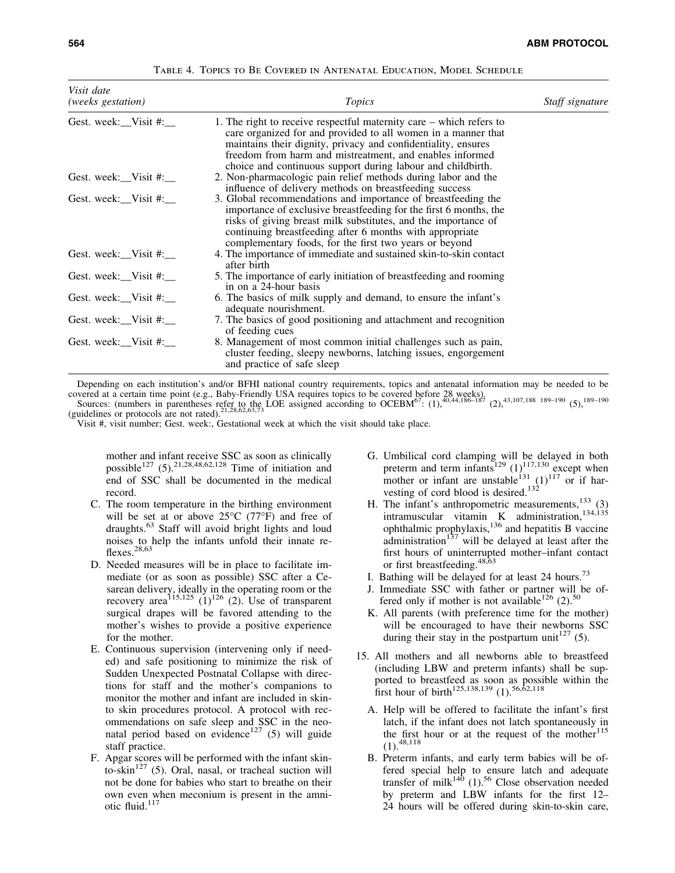| Visit date<br>(weeks gestation)      | Topics                                                                                                                                                                                                                                                                                                                           | Staff signature |
|--------------------------------------|----------------------------------------------------------------------------------------------------------------------------------------------------------------------------------------------------------------------------------------------------------------------------------------------------------------------------------|-----------------|
| Gest. week: Visit #:                 | 1. The right to receive respectful maternity care – which refers to<br>care organized for and provided to all women in a manner that<br>maintains their dignity, privacy and confidentiality, ensures<br>freedom from harm and mistreatment, and enables informed<br>choice and continuous support during labour and childbirth. |                 |
| Gest. week: $\sqrt{\text{Visit}}$ #: | 2. Non-pharmacologic pain relief methods during labor and the<br>influence of delivery methods on breastfeeding success                                                                                                                                                                                                          |                 |
| Gest. week: $\sqrt{\text{Visit}}$ #: | 3. Global recommendations and importance of breastfeeding the<br>importance of exclusive breastfeeding for the first 6 months, the<br>risks of giving breast milk substitutes, and the importance of<br>continuing breastfeeding after 6 months with appropriate<br>complementary foods, for the first two years or beyond       |                 |
| Gest. week: $\_\$ Visit #: $\_\_$    | 4. The importance of immediate and sustained skin-to-skin contact<br>after birth                                                                                                                                                                                                                                                 |                 |
| Gest. week: $\sqrt{\text{Visit}}$ #: | 5. The importance of early initiation of breastfeeding and rooming<br>in on a 24-hour basis                                                                                                                                                                                                                                      |                 |
| Gest. week: $\sqrt{\text{Visit}}$ #: | 6. The basics of milk supply and demand, to ensure the infant's<br>adequate nourishment.                                                                                                                                                                                                                                         |                 |
| Gest. week: $\sqrt{\text{Visit}}$ #: | 7. The basics of good positioning and attachment and recognition<br>of feeding cues                                                                                                                                                                                                                                              |                 |
| Gest. week: $\sqrt{\text{Visit}}$ #: | 8. Management of most common initial challenges such as pain,<br>cluster feeding, sleepy newborns, latching issues, engorgement<br>and practice of safe sleep                                                                                                                                                                    |                 |

Table 4. Topics to Be Covered in Antenatal Education, Model Schedule

Depending on each institution's and/or BFHI national country requirements, topics and antenatal information may be needed to be covered at a certain time point (e.g., Baby-Friendly USA requires topics to be covered before 28 weeks).<br>Sources: (numbers in parentheses refer to the LOE assigned according to OCEBM<sup>67</sup>: (1),<sup>40,44,186–187</sup> (2),<sup>43,107,1</sup> (guidelines or protocols are not rated).  $21,28,62,63,73$ 

Visit #, visit number; Gest. week:, Gestational week at which the visit should take place.

mother and infant receive SSC as soon as clinically possible<sup>127</sup> (5).<sup>21,28,48,62,128</sup> Time of initiation and end of SSC shall be documented in the medical record.

- C. The room temperature in the birthing environment will be set at or above  $25^{\circ}$ C (77 $^{\circ}$ F) and free of draughts.<sup>63</sup> Staff will avoid bright lights and loud noises to help the infants unfold their innate reflexes. $28,63$
- D. Needed measures will be in place to facilitate immediate (or as soon as possible) SSC after a Cesarean delivery, ideally in the operating room or the recovery area<sup>115,125</sup> (1)<sup>126</sup> (2). Use of transparent surgical drapes will be favored attending to the mother's wishes to provide a positive experience for the mother.
- E. Continuous supervision (intervening only if needed) and safe positioning to minimize the risk of Sudden Unexpected Postnatal Collapse with directions for staff and the mother's companions to monitor the mother and infant are included in skinto skin procedures protocol. A protocol with recommendations on safe sleep and SSC in the neonatal period based on evidence<sup>127</sup> (5) will guide staff practice.
- F. Apgar scores will be performed with the infant skinto-skin $127$  (5). Oral, nasal, or tracheal suction will not be done for babies who start to breathe on their own even when meconium is present in the amniotic fluid.<sup>117</sup>
- G. Umbilical cord clamping will be delayed in both preterm and term infants<sup>129</sup> (1)<sup>117,130</sup> except when mother or infant are unstable<sup>131</sup>  $(1)^{117}$  or if harvesting of cord blood is desired.<sup>132</sup>
- H. The infant's anthropometric measurements,  $133$  (3) intramuscular vitamin K administration,  $134,135$ ophthalmic prophylaxis,<sup>136</sup> and hepatitis B vaccine administration<sup>137</sup> will be delayed at least after the first hours of uninterrupted mother–infant contact or first breastfeeding.<sup>48,63</sup>
- I. Bathing will be delayed for at least  $24$  hours.<sup>73</sup>
- J. Immediate SSC with father or partner will be offered only if mother is not available<sup>126</sup> (2).<sup>50</sup>
- K. All parents (with preference time for the mother) will be encouraged to have their newborns SSC during their stay in the postpartum unit<sup>127</sup> (5).
- 15. All mothers and all newborns able to breastfeed (including LBW and preterm infants) shall be supported to breastfeed as soon as possible within the first hour of birth<sup>125,138,139</sup> (1).<sup>56,62,118</sup>
	- A. Help will be offered to facilitate the infant's first latch, if the infant does not latch spontaneously in the first hour or at the request of the mother $115$  $(1).^{48,118}$
	- B. Preterm infants, and early term babies will be offered special help to ensure latch and adequate transfer of milk $140$  (1).<sup>56</sup> Close observation needed by preterm and LBW infants for the first 12– 24 hours will be offered during skin-to-skin care,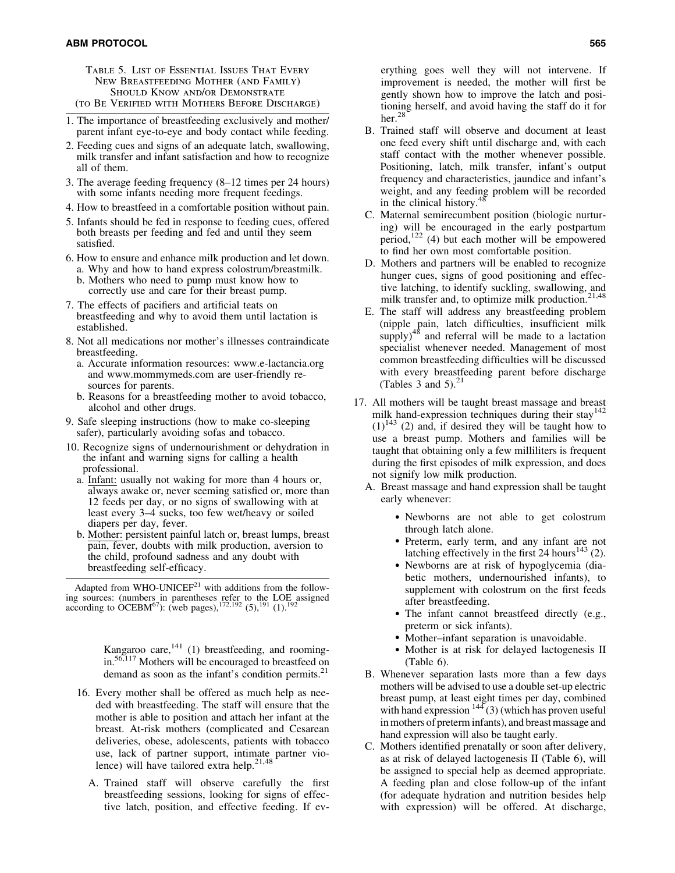Table 5. List of Essential Issues That Every New Breastfeeding Mother (and Family) Should Know and/or Demonstrate (to Be Verified with Mothers Before Discharge)

- 1. The importance of breastfeeding exclusively and mother/ parent infant eye-to-eye and body contact while feeding.
- 2. Feeding cues and signs of an adequate latch, swallowing, milk transfer and infant satisfaction and how to recognize all of them.
- 3. The average feeding frequency (8–12 times per 24 hours) with some infants needing more frequent feedings.
- 4. How to breastfeed in a comfortable position without pain.
- 5. Infants should be fed in response to feeding cues, offered both breasts per feeding and fed and until they seem satisfied.
- 6. How to ensure and enhance milk production and let down.
	- a. Why and how to hand express colostrum/breastmilk. b. Mothers who need to pump must know how to correctly use and care for their breast pump.
- 7. The effects of pacifiers and artificial teats on breastfeeding and why to avoid them until lactation is established.
- 8. Not all medications nor mother's illnesses contraindicate breastfeeding.
	- a. Accurate information resources: [www.e-lactancia.org](http://www.e-lactancia.org) and [www.mommymeds.com](http://www.mommymeds.com) are user-friendly resources for parents.
	- b. Reasons for a breastfeeding mother to avoid tobacco, alcohol and other drugs.
- 9. Safe sleeping instructions (how to make co-sleeping safer), particularly avoiding sofas and tobacco.
- 10. Recognize signs of undernourishment or dehydration in the infant and warning signs for calling a health professional.
	- a. Infant: usually not waking for more than 4 hours or, always awake or, never seeming satisfied or, more than 12 feeds per day, or no signs of swallowing with at least every 3–4 sucks, too few wet/heavy or soiled diapers per day, fever.
	- b. Mother: persistent painful latch or, breast lumps, breast pain, fever, doubts with milk production, aversion to the child, profound sadness and any doubt with breastfeeding self-efficacy.

Adapted from WHO-UNICE $F^{21}$  with additions from the following sources: (numbers in parentheses refer to the LOE assigned according to OCEBM<sup>67</sup>): (web pages),<sup>172,192</sup> (5),<sup>191</sup> (1).<sup>192</sup>

> Kangaroo care, $^{141}$  (1) breastfeeding, and roomingin.<sup>56,117</sup> Mothers will be encouraged to breastfeed on demand as soon as the infant's condition permits. $2<sup>1</sup>$

- 16. Every mother shall be offered as much help as needed with breastfeeding. The staff will ensure that the mother is able to position and attach her infant at the breast. At-risk mothers (complicated and Cesarean deliveries, obese, adolescents, patients with tobacco use, lack of partner support, intimate partner violence) will have tailored extra help.<sup>21,48</sup>
	- A. Trained staff will observe carefully the first breastfeeding sessions, looking for signs of effective latch, position, and effective feeding. If ev-

erything goes well they will not intervene. If improvement is needed, the mother will first be gently shown how to improve the latch and positioning herself, and avoid having the staff do it for her. $^{28}$ 

- B. Trained staff will observe and document at least one feed every shift until discharge and, with each staff contact with the mother whenever possible. Positioning, latch, milk transfer, infant's output frequency and characteristics, jaundice and infant's weight, and any feeding problem will be recorded in the clinical history.<sup>48</sup>
- C. Maternal semirecumbent position (biologic nurturing) will be encouraged in the early postpartum period,<sup>122</sup> (4) but each mother will be empowered to find her own most comfortable position.
- D. Mothers and partners will be enabled to recognize hunger cues, signs of good positioning and effective latching, to identify suckling, swallowing, and milk transfer and, to optimize milk production.<sup>21,48</sup>
- E. The staff will address any breastfeeding problem (nipple pain, latch difficulties, insufficient milk supply) $48$  and referral will be made to a lactation specialist whenever needed. Management of most common breastfeeding difficulties will be discussed with every breastfeeding parent before discharge (Tables 3 and 5). $^{21}$
- 17. All mothers will be taught breast massage and breast milk hand-expression techniques during their stay<sup>142</sup>  $(1)^{143}$  (2) and, if desired they will be taught how to use a breast pump. Mothers and families will be taught that obtaining only a few milliliters is frequent during the first episodes of milk expression, and does not signify low milk production.
	- A. Breast massage and hand expression shall be taught early whenever:
		- Newborns are not able to get colostrum through latch alone.
		- Preterm, early term, and any infant are not latching effectively in the first 24 hours<sup>143</sup> (2).
		- Newborns are at risk of hypoglycemia (diabetic mothers, undernourished infants), to supplement with colostrum on the first feeds after breastfeeding.
		- The infant cannot breastfeed directly (e.g., preterm or sick infants).
		- Mother–infant separation is unavoidable.
		- Mother is at risk for delayed lactogenesis II (Table 6).
	- B. Whenever separation lasts more than a few days mothers will be advised to use a double set-up electric breast pump, at least eight times per day, combined with hand expression  $144^{\circ}$  (3) (which has proven useful in mothers of preterm infants), and breast massage and hand expression will also be taught early.
	- C. Mothers identified prenatally or soon after delivery, as at risk of delayed lactogenesis II (Table 6), will be assigned to special help as deemed appropriate. A feeding plan and close follow-up of the infant (for adequate hydration and nutrition besides help with expression) will be offered. At discharge,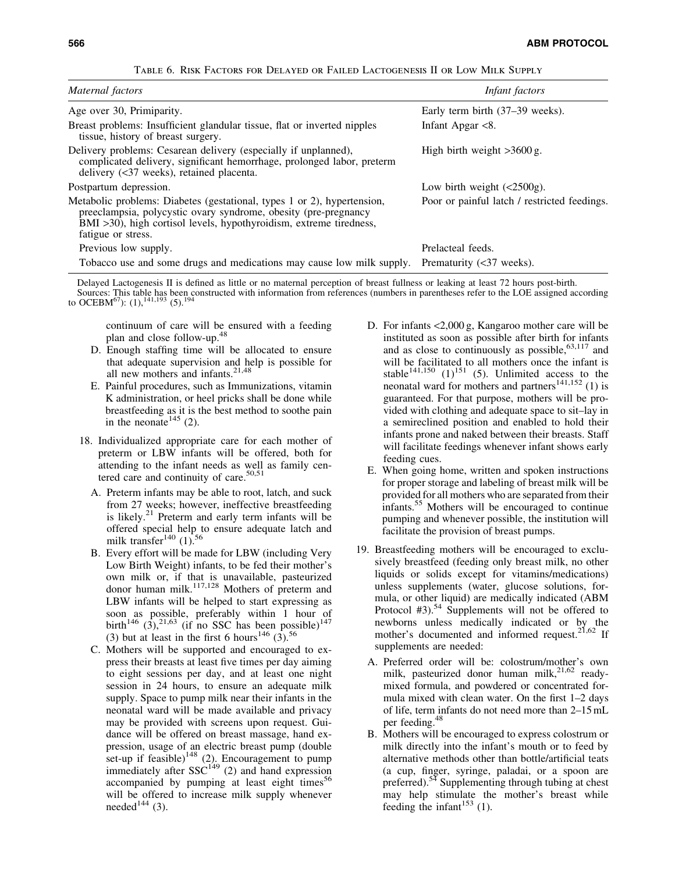| Maternal factors                                                                                                                                                                                                                       | Infant factors                                      |
|----------------------------------------------------------------------------------------------------------------------------------------------------------------------------------------------------------------------------------------|-----------------------------------------------------|
| Age over 30, Primiparity.                                                                                                                                                                                                              | Early term birth (37–39 weeks).                     |
| Breast problems: Insufficient glandular tissue, flat or inverted nipples<br>tissue, history of breast surgery.                                                                                                                         | Infant Apgar $<8$ .                                 |
| Delivery problems: Cesarean delivery (especially if unplanned),<br>complicated delivery, significant hemorrhage, prolonged labor, preterm<br>delivery $(37 weeks)$ , retained placenta.                                                | High birth weight $>3600$ g.                        |
| Postpartum depression.                                                                                                                                                                                                                 | Low birth weight $\left( < 2500 \text{g} \right)$ . |
| Metabolic problems: Diabetes (gestational, types 1 or 2), hypertension,<br>preeclampsia, polycystic ovary syndrome, obesity (pre-pregnancy<br>BMI >30), high cortisol levels, hypothyroidism, extreme tiredness,<br>fatigue or stress. | Poor or painful latch / restricted feedings.        |
| Previous low supply.                                                                                                                                                                                                                   | Prelacteal feeds.                                   |
| Tobacco use and some drugs and medications may cause low milk supply.                                                                                                                                                                  | Prematurity (<37 weeks).                            |

Table 6. Risk Factors for Delayed or Failed Lactogenesis II or Low Milk Supply

Delayed Lactogenesis II is defined as little or no maternal perception of breast fullness or leaking at least 72 hours post-birth. Sources: This table has been constructed with information from references (numbers in parentheses refer to the LOE assigned according to OCEBM<sup>67</sup>): (1),<sup>141,193</sup> (5).<sup>194</sup>

continuum of care will be ensured with a feeding plan and close follow-up.<sup>48</sup>

- D. Enough staffing time will be allocated to ensure that adequate supervision and help is possible for all new mothers and infants. $21,48$
- E. Painful procedures, such as Immunizations, vitamin K administration, or heel pricks shall be done while breastfeeding as it is the best method to soothe pain in the neonate<sup>145</sup> (2).
- 18. Individualized appropriate care for each mother of preterm or LBW infants will be offered, both for attending to the infant needs as well as family centered care and continuity of care. $50,51$ 
	- A. Preterm infants may be able to root, latch, and suck from 27 weeks; however, ineffective breastfeeding is likely. $21$  Preterm and early term infants will be offered special help to ensure adequate latch and milk transfer<sup>140</sup> (1).<sup>56</sup>
	- B. Every effort will be made for LBW (including Very Low Birth Weight) infants, to be fed their mother's own milk or, if that is unavailable, pasteurized donor human milk.<sup>117,128</sup> Mothers of preterm and LBW infants will be helped to start expressing as soon as possible, preferably within 1 hour of birth<sup>146</sup> (3),<sup>21,63</sup> (if no SSC has been possible)<sup>147</sup> (3) but at least in the first 6 hours<sup>146</sup> (3).<sup>56</sup>
	- C. Mothers will be supported and encouraged to express their breasts at least five times per day aiming to eight sessions per day, and at least one night session in 24 hours, to ensure an adequate milk supply. Space to pump milk near their infants in the neonatal ward will be made available and privacy may be provided with screens upon request. Guidance will be offered on breast massage, hand expression, usage of an electric breast pump (double set-up if feasible)<sup>148</sup> (2). Encouragement to pump immediately after  $SSC^{149}$  (2) and hand expression accompanied by pumping at least eight times<sup>56</sup> will be offered to increase milk supply whenever needed<sup>144</sup> (3).
- D. For infants <2,000 g, Kangaroo mother care will be instituted as soon as possible after birth for infants and as close to continuously as possible,  $63,117$  and will be facilitated to all mothers once the infant is stable<sup>141,150</sup> (1)<sup>151</sup> (5). Unlimited access to the neonatal ward for mothers and partners<sup>141,152</sup> (1) is guaranteed. For that purpose, mothers will be provided with clothing and adequate space to sit–lay in a semireclined position and enabled to hold their infants prone and naked between their breasts. Staff will facilitate feedings whenever infant shows early feeding cues.
- E. When going home, written and spoken instructions for proper storage and labeling of breast milk will be provided for all mothers who are separated from their infants.<sup>55</sup> Mothers will be encouraged to continue pumping and whenever possible, the institution will facilitate the provision of breast pumps.
- 19. Breastfeeding mothers will be encouraged to exclusively breastfeed (feeding only breast milk, no other liquids or solids except for vitamins/medications) unless supplements (water, glucose solutions, formula, or other liquid) are medically indicated (ABM Protocol  $#3$ ).<sup>54</sup> Supplements will not be offered to newborns unless medically indicated or by the mother's documented and informed request.<sup>21,62</sup> If supplements are needed:
	- A. Preferred order will be: colostrum/mother's own milk, pasteurized donor human milk,  $2^{1,62}$  readymixed formula, and powdered or concentrated formula mixed with clean water. On the first 1–2 days of life, term infants do not need more than 2–15 mL per feeding.<sup>48</sup>
	- B. Mothers will be encouraged to express colostrum or milk directly into the infant's mouth or to feed by alternative methods other than bottle/artificial teats (a cup, finger, syringe, paladai, or a spoon are preferred).<sup>54</sup> Supplementing through tubing at chest may help stimulate the mother's breast while feeding the infant<sup>153</sup> (1).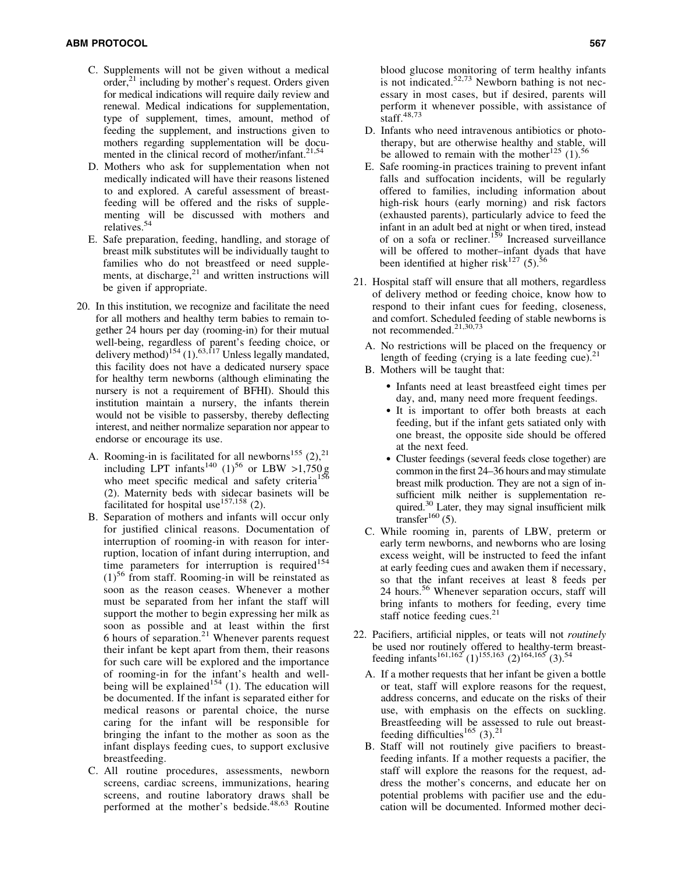- C. Supplements will not be given without a medical order, $^{21}$  including by mother's request. Orders given for medical indications will require daily review and renewal. Medical indications for supplementation, type of supplement, times, amount, method of feeding the supplement, and instructions given to mothers regarding supplementation will be documented in the clinical record of mother/infant. $21,54$
- D. Mothers who ask for supplementation when not medically indicated will have their reasons listened to and explored. A careful assessment of breastfeeding will be offered and the risks of supplementing will be discussed with mothers and relatives.54
- E. Safe preparation, feeding, handling, and storage of breast milk substitutes will be individually taught to families who do not breastfeed or need supplements, at discharge, $21$  and written instructions will be given if appropriate.
- 20. In this institution, we recognize and facilitate the need for all mothers and healthy term babies to remain together 24 hours per day (rooming-in) for their mutual well-being, regardless of parent's feeding choice, or delivery method)<sup>154</sup> (1).<sup>63,117</sup> Unless legally mandated, this facility does not have a dedicated nursery space for healthy term newborns (although eliminating the nursery is not a requirement of BFHI). Should this institution maintain a nursery, the infants therein would not be visible to passersby, thereby deflecting interest, and neither normalize separation nor appear to endorse or encourage its use.
	- A. Rooming-in is facilitated for all newborns<sup>155</sup>  $(2)$ ,<sup>21</sup> including LPT infants<sup>140</sup> (1)<sup>56</sup> or LBW >1,750 g who meet specific medical and safety criteria<sup>156</sup> (2). Maternity beds with sidecar basinets will be facilitated for hospital use<sup>157,158</sup> (2).
	- B. Separation of mothers and infants will occur only for justified clinical reasons. Documentation of interruption of rooming-in with reason for interruption, location of infant during interruption, and time parameters for interruption is required<sup>154</sup>  $(1)$ <sup>56</sup> from staff. Rooming-in will be reinstated as soon as the reason ceases. Whenever a mother must be separated from her infant the staff will support the mother to begin expressing her milk as soon as possible and at least within the first 6 hours of separation.<sup>21</sup> Whenever parents request their infant be kept apart from them, their reasons for such care will be explored and the importance of rooming-in for the infant's health and wellbeing will be explained<sup>154</sup> (1). The education will be documented. If the infant is separated either for medical reasons or parental choice, the nurse caring for the infant will be responsible for bringing the infant to the mother as soon as the infant displays feeding cues, to support exclusive breastfeeding.
	- C. All routine procedures, assessments, newborn screens, cardiac screens, immunizations, hearing screens, and routine laboratory draws shall be performed at the mother's bedside.<sup>48,63</sup> Routine

blood glucose monitoring of term healthy infants is not indicated. $52,73$  Newborn bathing is not necessary in most cases, but if desired, parents will perform it whenever possible, with assistance of staff. $48,73$ 

- D. Infants who need intravenous antibiotics or phototherapy, but are otherwise healthy and stable, will be allowed to remain with the mother<sup>125</sup>  $(1)$ .<sup>56</sup>
- E. Safe rooming-in practices training to prevent infant falls and suffocation incidents, will be regularly offered to families, including information about high-risk hours (early morning) and risk factors (exhausted parents), particularly advice to feed the infant in an adult bed at night or when tired, instead of on a sofa or recliner.<sup>159</sup> Increased surveillance will be offered to mother–infant dyads that have been identified at higher risk<sup>127</sup> (5).<sup>56</sup>
- 21. Hospital staff will ensure that all mothers, regardless of delivery method or feeding choice, know how to respond to their infant cues for feeding, closeness, and comfort. Scheduled feeding of stable newborns is not recommended.<sup>21,30,73</sup>
	- A. No restrictions will be placed on the frequency or length of feeding (crying is a late feeding cue). $21$
	- B. Mothers will be taught that:
		- Infants need at least breastfeed eight times per day, and, many need more frequent feedings.
		- It is important to offer both breasts at each feeding, but if the infant gets satiated only with one breast, the opposite side should be offered at the next feed.
		- Cluster feedings (several feeds close together) are common in the first 24–36 hours and may stimulate breast milk production. They are not a sign of insufficient milk neither is supplementation required.<sup>30</sup> Later, they may signal insufficient milk transfer $160$  (5).
	- C. While rooming in, parents of LBW, preterm or early term newborns, and newborns who are losing excess weight, will be instructed to feed the infant at early feeding cues and awaken them if necessary, so that the infant receives at least 8 feeds per 24 hours.<sup>56</sup> Whenever separation occurs, staff will bring infants to mothers for feeding, every time staff notice feeding cues.<sup>21</sup>
- 22. Pacifiers, artificial nipples, or teats will not *routinely* be used nor routinely offered to healthy-term breastfeeding infants<sup>161,162</sup> (1)<sup>155,163</sup> (2)<sup>164,165</sup> (3).<sup>54</sup>
	- A. If a mother requests that her infant be given a bottle or teat, staff will explore reasons for the request, address concerns, and educate on the risks of their use, with emphasis on the effects on suckling. Breastfeeding will be assessed to rule out breastfeeding difficulties<sup>165</sup> (3).<sup>21</sup>
	- B. Staff will not routinely give pacifiers to breastfeeding infants. If a mother requests a pacifier, the staff will explore the reasons for the request, address the mother's concerns, and educate her on potential problems with pacifier use and the education will be documented. Informed mother deci-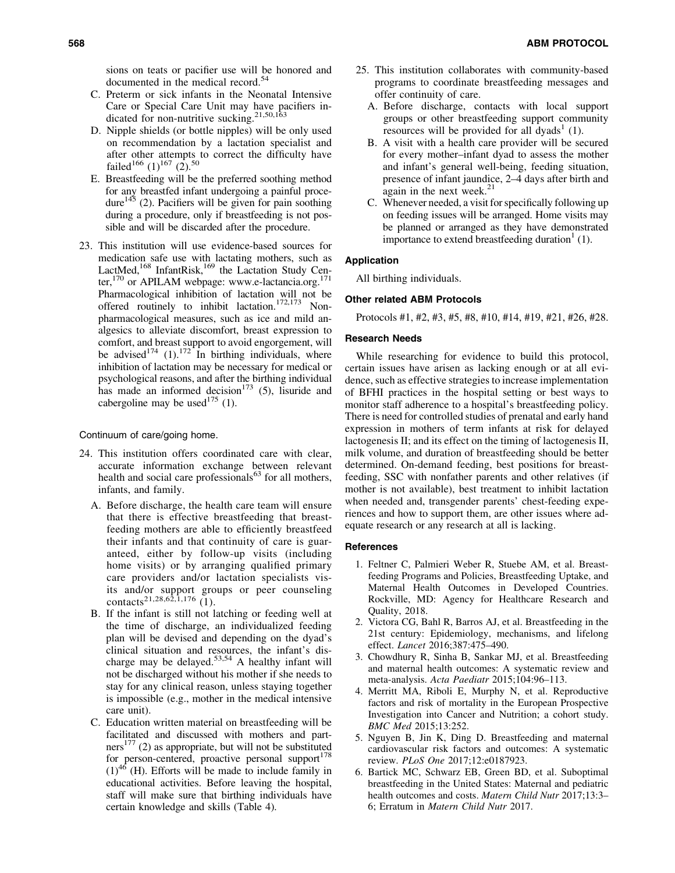sions on teats or pacifier use will be honored and documented in the medical record.<sup>54</sup>

- C. Preterm or sick infants in the Neonatal Intensive Care or Special Care Unit may have pacifiers indicated for non-nutritive sucking.<sup>21,50,163</sup>
- D. Nipple shields (or bottle nipples) will be only used on recommendation by a lactation specialist and after other attempts to correct the difficulty have failed<sup>166</sup> (1)<sup>167</sup> (2).<sup>50</sup>
- E. Breastfeeding will be the preferred soothing method for any breastfed infant undergoing a painful procedure<sup>145</sup> (2). Pacifiers will be given for pain soothing during a procedure, only if breastfeeding is not possible and will be discarded after the procedure.
- 23. This institution will use evidence-based sources for medication safe use with lactating mothers, such as LactMed, $168$  InfantRisk, $169$  the Lactation Study Center, $170$  or APILAM webpage: [www.e-lactancia.org.](http://www.e-lactancia.org) $171$ Pharmacological inhibition of lactation will not be offered routinely to inhibit lactation.<sup>172,173</sup> Nonpharmacological measures, such as ice and mild analgesics to alleviate discomfort, breast expression to comfort, and breast support to avoid engorgement, will be advised<sup>174</sup> (1).<sup>172</sup> In birthing individuals, where inhibition of lactation may be necessary for medical or psychological reasons, and after the birthing individual has made an informed decision $173$  (5), lisuride and cabergoline may be used<sup>175</sup> (1).

# Continuum of care/going home.

- 24. This institution offers coordinated care with clear, accurate information exchange between relevant health and social care professionals<sup>63</sup> for all mothers, infants, and family.
	- A. Before discharge, the health care team will ensure that there is effective breastfeeding that breastfeeding mothers are able to efficiently breastfeed their infants and that continuity of care is guaranteed, either by follow-up visits (including home visits) or by arranging qualified primary care providers and/or lactation specialists visits and/or support groups or peer counseling contacts<sup>21,28,62,1,176</sup> (1).
	- B. If the infant is still not latching or feeding well at the time of discharge, an individualized feeding plan will be devised and depending on the dyad's clinical situation and resources, the infant's discharge may be delayed.<sup>53,54</sup> A healthy infant will not be discharged without his mother if she needs to stay for any clinical reason, unless staying together is impossible (e.g., mother in the medical intensive care unit).
	- C. Education written material on breastfeeding will be facilitated and discussed with mothers and partners<sup>177</sup> (2) as appropriate, but will not be substituted for person-centered, proactive personal support<sup>178</sup>  $(1)^{46}$  (H). Efforts will be made to include family in educational activities. Before leaving the hospital, staff will make sure that birthing individuals have certain knowledge and skills (Table 4).
- 25. This institution collaborates with community-based programs to coordinate breastfeeding messages and offer continuity of care.
	- A. Before discharge, contacts with local support groups or other breastfeeding support community resources will be provided for all dyads<sup>1</sup> (1).
	- B. A visit with a health care provider will be secured for every mother–infant dyad to assess the mother and infant's general well-being, feeding situation, presence of infant jaundice, 2–4 days after birth and again in the next week.<sup>21</sup>
	- C. Whenever needed, a visit for specifically following up on feeding issues will be arranged. Home visits may be planned or arranged as they have demonstrated importance to extend breastfeeding duration $(1)$ .

#### Application

All birthing individuals.

#### Other related ABM Protocols

Protocols #1, #2, #3, #5, #8, #10, #14, #19, #21, #26, #28.

# Research Needs

While researching for evidence to build this protocol, certain issues have arisen as lacking enough or at all evidence, such as effective strategies to increase implementation of BFHI practices in the hospital setting or best ways to monitor staff adherence to a hospital's breastfeeding policy. There is need for controlled studies of prenatal and early hand expression in mothers of term infants at risk for delayed lactogenesis II; and its effect on the timing of lactogenesis II, milk volume, and duration of breastfeeding should be better determined. On-demand feeding, best positions for breastfeeding, SSC with nonfather parents and other relatives (if mother is not available), best treatment to inhibit lactation when needed and, transgender parents' chest-feeding experiences and how to support them, are other issues where adequate research or any research at all is lacking.

#### References

- 1. Feltner C, Palmieri Weber R, Stuebe AM, et al. Breastfeeding Programs and Policies, Breastfeeding Uptake, and Maternal Health Outcomes in Developed Countries. Rockville, MD: Agency for Healthcare Research and Quality, 2018.
- 2. Victora CG, Bahl R, Barros AJ, et al. Breastfeeding in the 21st century: Epidemiology, mechanisms, and lifelong effect. *Lancet* 2016;387:475–490.
- 3. Chowdhury R, Sinha B, Sankar MJ, et al. Breastfeeding and maternal health outcomes: A systematic review and meta-analysis. *Acta Paediatr* 2015;104:96–113.
- 4. Merritt MA, Riboli E, Murphy N, et al. Reproductive factors and risk of mortality in the European Prospective Investigation into Cancer and Nutrition; a cohort study. *BMC Med* 2015;13:252.
- 5. Nguyen B, Jin K, Ding D. Breastfeeding and maternal cardiovascular risk factors and outcomes: A systematic review. *PLoS One* 2017;12:e0187923.
- 6. Bartick MC, Schwarz EB, Green BD, et al. Suboptimal breastfeeding in the United States: Maternal and pediatric health outcomes and costs. *Matern Child Nutr* 2017;13:3– 6; Erratum in *Matern Child Nutr* 2017.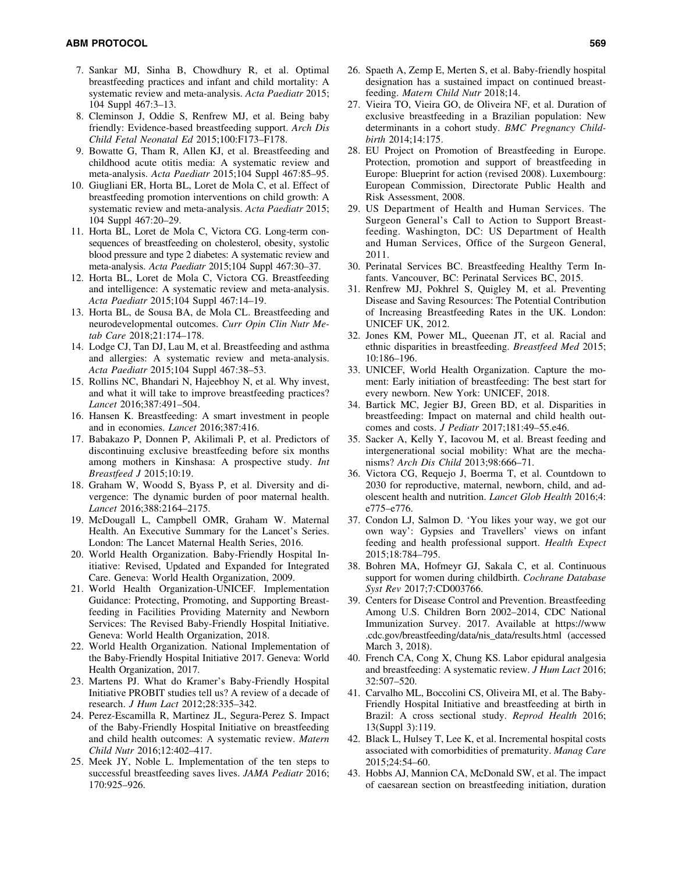- 7. Sankar MJ, Sinha B, Chowdhury R, et al. Optimal breastfeeding practices and infant and child mortality: A systematic review and meta-analysis. *Acta Paediatr* 2015; 104 Suppl 467:3–13.
- 8. Cleminson J, Oddie S, Renfrew MJ, et al. Being baby friendly: Evidence-based breastfeeding support. *Arch Dis Child Fetal Neonatal Ed* 2015;100:F173–F178.
- 9. Bowatte G, Tham R, Allen KJ, et al. Breastfeeding and childhood acute otitis media: A systematic review and meta-analysis. *Acta Paediatr* 2015;104 Suppl 467:85–95.
- 10. Giugliani ER, Horta BL, Loret de Mola C, et al. Effect of breastfeeding promotion interventions on child growth: A systematic review and meta-analysis. *Acta Paediatr* 2015; 104 Suppl 467:20–29.
- 11. Horta BL, Loret de Mola C, Victora CG. Long-term consequences of breastfeeding on cholesterol, obesity, systolic blood pressure and type 2 diabetes: A systematic review and meta-analysis. *Acta Paediatr* 2015;104 Suppl 467:30–37.
- 12. Horta BL, Loret de Mola C, Victora CG. Breastfeeding and intelligence: A systematic review and meta-analysis. *Acta Paediatr* 2015;104 Suppl 467:14–19.
- 13. Horta BL, de Sousa BA, de Mola CL. Breastfeeding and neurodevelopmental outcomes. *Curr Opin Clin Nutr Metab Care* 2018;21:174–178.
- 14. Lodge CJ, Tan DJ, Lau M, et al. Breastfeeding and asthma and allergies: A systematic review and meta-analysis. *Acta Paediatr* 2015;104 Suppl 467:38–53.
- 15. Rollins NC, Bhandari N, Hajeebhoy N, et al. Why invest, and what it will take to improve breastfeeding practices? *Lancet* 2016;387:491–504.
- 16. Hansen K. Breastfeeding: A smart investment in people and in economies. *Lancet* 2016;387:416.
- 17. Babakazo P, Donnen P, Akilimali P, et al. Predictors of discontinuing exclusive breastfeeding before six months among mothers in Kinshasa: A prospective study. *Int Breastfeed J* 2015;10:19.
- 18. Graham W, Woodd S, Byass P, et al. Diversity and divergence: The dynamic burden of poor maternal health. *Lancet* 2016;388:2164–2175.
- 19. McDougall L, Campbell OMR, Graham W. Maternal Health. An Executive Summary for the Lancet's Series. London: The Lancet Maternal Health Series, 2016.
- 20. World Health Organization. Baby-Friendly Hospital Initiative: Revised, Updated and Expanded for Integrated Care. Geneva: World Health Organization, 2009.
- 21. World Health Organization-UNICEF. Implementation Guidance: Protecting, Promoting, and Supporting Breastfeeding in Facilities Providing Maternity and Newborn Services: The Revised Baby-Friendly Hospital Initiative. Geneva: World Health Organization, 2018.
- 22. World Health Organization. National Implementation of the Baby-Friendly Hospital Initiative 2017. Geneva: World Health Organization, 2017.
- 23. Martens PJ. What do Kramer's Baby-Friendly Hospital Initiative PROBIT studies tell us? A review of a decade of research. *J Hum Lact* 2012;28:335–342.
- 24. Perez-Escamilla R, Martinez JL, Segura-Perez S. Impact of the Baby-Friendly Hospital Initiative on breastfeeding and child health outcomes: A systematic review. *Matern Child Nutr* 2016;12:402–417.
- 25. Meek JY, Noble L. Implementation of the ten steps to successful breastfeeding saves lives. *JAMA Pediatr* 2016; 170:925–926.
- 26. Spaeth A, Zemp E, Merten S, et al. Baby-friendly hospital designation has a sustained impact on continued breastfeeding. *Matern Child Nutr* 2018;14.
- 27. Vieira TO, Vieira GO, de Oliveira NF, et al. Duration of exclusive breastfeeding in a Brazilian population: New determinants in a cohort study. *BMC Pregnancy Childbirth* 2014;14:175.
- 28. EU Project on Promotion of Breastfeeding in Europe. Protection, promotion and support of breastfeeding in Europe: Blueprint for action (revised 2008). Luxembourg: European Commission, Directorate Public Health and Risk Assessment, 2008.
- 29. US Department of Health and Human Services. The Surgeon General's Call to Action to Support Breastfeeding. Washington, DC: US Department of Health and Human Services, Office of the Surgeon General, 2011.
- 30. Perinatal Services BC. Breastfeeding Healthy Term Infants. Vancouver, BC: Perinatal Services BC, 2015.
- 31. Renfrew MJ, Pokhrel S, Quigley M, et al. Preventing Disease and Saving Resources: The Potential Contribution of Increasing Breastfeeding Rates in the UK. London: UNICEF UK, 2012.
- 32. Jones KM, Power ML, Queenan JT, et al. Racial and ethnic disparities in breastfeeding. *Breastfeed Med* 2015; 10:186–196.
- 33. UNICEF, World Health Organization. Capture the moment: Early initiation of breastfeeding: The best start for every newborn. New York: UNICEF, 2018.
- 34. Bartick MC, Jegier BJ, Green BD, et al. Disparities in breastfeeding: Impact on maternal and child health outcomes and costs. *J Pediatr* 2017;181:49–55.e46.
- 35. Sacker A, Kelly Y, Iacovou M, et al. Breast feeding and intergenerational social mobility: What are the mechanisms? *Arch Dis Child* 2013;98:666–71.
- 36. Victora CG, Requejo J, Boerma T, et al. Countdown to 2030 for reproductive, maternal, newborn, child, and adolescent health and nutrition. *Lancet Glob Health* 2016;4: e775–e776.
- 37. Condon LJ, Salmon D. 'You likes your way, we got our own way': Gypsies and Travellers' views on infant feeding and health professional support. *Health Expect* 2015;18:784–795.
- 38. Bohren MA, Hofmeyr GJ, Sakala C, et al. Continuous support for women during childbirth. *Cochrane Database Syst Rev* 2017;7:CD003766.
- 39. Centers for Disease Control and Prevention. Breastfeeding Among U.S. Children Born 2002–2014, CDC National Immunization Survey. 2017. Available at [https://www](https://www.cdc.gov/breastfeeding/data/nis_data/results.html) [.cdc.gov/breastfeeding/data/nis\\_data/results.html](https://www.cdc.gov/breastfeeding/data/nis_data/results.html) (accessed March 3, 2018).
- 40. French CA, Cong X, Chung KS. Labor epidural analgesia and breastfeeding: A systematic review. *J Hum Lact* 2016; 32:507–520.
- 41. Carvalho ML, Boccolini CS, Oliveira MI, et al. The Baby-Friendly Hospital Initiative and breastfeeding at birth in Brazil: A cross sectional study. *Reprod Health* 2016; 13(Suppl 3):119.
- 42. Black L, Hulsey T, Lee K, et al. Incremental hospital costs associated with comorbidities of prematurity. *Manag Care* 2015;24:54–60.
- 43. Hobbs AJ, Mannion CA, McDonald SW, et al. The impact of caesarean section on breastfeeding initiation, duration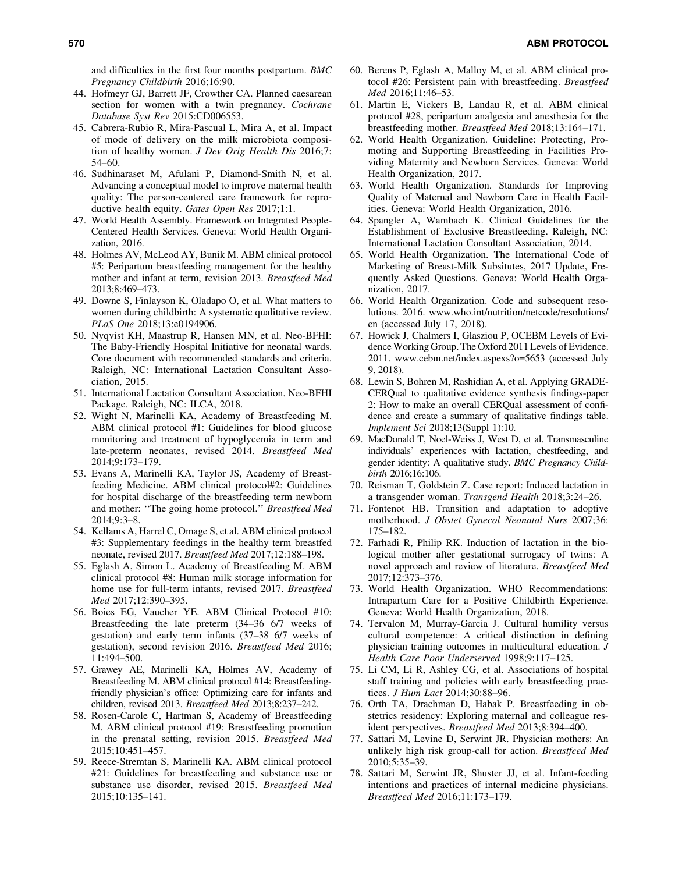and difficulties in the first four months postpartum. *BMC Pregnancy Childbirth* 2016;16:90.

- 44. Hofmeyr GJ, Barrett JF, Crowther CA. Planned caesarean section for women with a twin pregnancy. *Cochrane Database Syst Rev* 2015:CD006553.
- 45. Cabrera-Rubio R, Mira-Pascual L, Mira A, et al. Impact of mode of delivery on the milk microbiota composition of healthy women. *J Dev Orig Health Dis* 2016;7: 54–60.
- 46. Sudhinaraset M, Afulani P, Diamond-Smith N, et al. Advancing a conceptual model to improve maternal health quality: The person-centered care framework for reproductive health equity. *Gates Open Res* 2017;1:1.
- 47. World Health Assembly. Framework on Integrated People-Centered Health Services. Geneva: World Health Organization, 2016.
- 48. Holmes AV, McLeod AY, Bunik M. ABM clinical protocol #5: Peripartum breastfeeding management for the healthy mother and infant at term, revision 2013. *Breastfeed Med* 2013;8:469–473.
- 49. Downe S, Finlayson K, Oladapo O, et al. What matters to women during childbirth: A systematic qualitative review. *PLoS One* 2018;13:e0194906.
- 50. Nyqvist KH, Maastrup R, Hansen MN, et al. Neo-BFHI: The Baby-Friendly Hospital Initiative for neonatal wards. Core document with recommended standards and criteria. Raleigh, NC: International Lactation Consultant Association, 2015.
- 51. International Lactation Consultant Association. Neo-BFHI Package. Raleigh, NC: ILCA, 2018.
- 52. Wight N, Marinelli KA, Academy of Breastfeeding M. ABM clinical protocol #1: Guidelines for blood glucose monitoring and treatment of hypoglycemia in term and late-preterm neonates, revised 2014. *Breastfeed Med* 2014;9:173–179.
- 53. Evans A, Marinelli KA, Taylor JS, Academy of Breastfeeding Medicine. ABM clinical protocol#2: Guidelines for hospital discharge of the breastfeeding term newborn and mother: ''The going home protocol.'' *Breastfeed Med* 2014;9:3–8.
- 54. Kellams A, Harrel C, Omage S, et al. ABM clinical protocol #3: Supplementary feedings in the healthy term breastfed neonate, revised 2017. *Breastfeed Med* 2017;12:188–198.
- 55. Eglash A, Simon L. Academy of Breastfeeding M. ABM clinical protocol #8: Human milk storage information for home use for full-term infants, revised 2017. *Breastfeed Med* 2017;12:390–395.
- 56. Boies EG, Vaucher YE. ABM Clinical Protocol #10: Breastfeeding the late preterm (34–36 6/7 weeks of gestation) and early term infants (37–38 6/7 weeks of gestation), second revision 2016. *Breastfeed Med* 2016; 11:494–500.
- 57. Grawey AE, Marinelli KA, Holmes AV, Academy of Breastfeeding M. ABM clinical protocol #14: Breastfeedingfriendly physician's office: Optimizing care for infants and children, revised 2013. *Breastfeed Med* 2013;8:237–242.
- 58. Rosen-Carole C, Hartman S, Academy of Breastfeeding M. ABM clinical protocol #19: Breastfeeding promotion in the prenatal setting, revision 2015. *Breastfeed Med* 2015;10:451–457.
- 59. Reece-Stremtan S, Marinelli KA. ABM clinical protocol #21: Guidelines for breastfeeding and substance use or substance use disorder, revised 2015. *Breastfeed Med* 2015;10:135–141.
- 60. Berens P, Eglash A, Malloy M, et al. ABM clinical protocol #26: Persistent pain with breastfeeding. *Breastfeed Med* 2016;11:46–53.
- 61. Martin E, Vickers B, Landau R, et al. ABM clinical protocol #28, peripartum analgesia and anesthesia for the breastfeeding mother. *Breastfeed Med* 2018;13:164–171.
- 62. World Health Organization. Guideline: Protecting, Promoting and Supporting Breastfeeding in Facilities Providing Maternity and Newborn Services. Geneva: World Health Organization, 2017.
- 63. World Health Organization. Standards for Improving Quality of Maternal and Newborn Care in Health Facilities. Geneva: World Health Organization, 2016.
- 64. Spangler A, Wambach K. Clinical Guidelines for the Establishment of Exclusive Breastfeeding. Raleigh, NC: International Lactation Consultant Association, 2014.
- 65. World Health Organization. The International Code of Marketing of Breast-Milk Subsitutes, 2017 Update, Frequently Asked Questions. Geneva: World Health Organization, 2017.
- 66. World Health Organization. Code and subsequent resolutions. 2016. [www.who.int/nutrition/netcode/resolutions/](http://www.who.int/nutrition/netcode/resolutions/en) [en](http://www.who.int/nutrition/netcode/resolutions/en) (accessed July 17, 2018).
- 67. Howick J, Chalmers I, Glasziou P, OCEBM Levels of Evidence Working Group. The Oxford 2011 Levels of Evidence. 2011. [www.cebm.net/index.aspexs?o=5653](http://www.cebm.net/index.aspexs?o=5653) (accessed July 9, 2018).
- 68. Lewin S, Bohren M, Rashidian A, et al. Applying GRADE-CERQual to qualitative evidence synthesis findings-paper 2: How to make an overall CERQual assessment of confidence and create a summary of qualitative findings table. *Implement Sci* 2018;13(Suppl 1):10.
- 69. MacDonald T, Noel-Weiss J, West D, et al. Transmasculine individuals' experiences with lactation, chestfeeding, and gender identity: A qualitative study. *BMC Pregnancy Childbirth* 2016;16:106.
- 70. Reisman T, Goldstein Z. Case report: Induced lactation in a transgender woman. *Transgend Health* 2018;3:24–26.
- 71. Fontenot HB. Transition and adaptation to adoptive motherhood. *J Obstet Gynecol Neonatal Nurs* 2007;36: 175–182.
- 72. Farhadi R, Philip RK. Induction of lactation in the biological mother after gestational surrogacy of twins: A novel approach and review of literature. *Breastfeed Med* 2017;12:373–376.
- 73. World Health Organization. WHO Recommendations: Intrapartum Care for a Positive Childbirth Experience. Geneva: World Health Organization, 2018.
- 74. Tervalon M, Murray-Garcia J. Cultural humility versus cultural competence: A critical distinction in defining physician training outcomes in multicultural education. *J Health Care Poor Underserved* 1998;9:117–125.
- 75. Li CM, Li R, Ashley CG, et al. Associations of hospital staff training and policies with early breastfeeding practices. *J Hum Lact* 2014;30:88–96.
- 76. Orth TA, Drachman D, Habak P. Breastfeeding in obstetrics residency: Exploring maternal and colleague resident perspectives. *Breastfeed Med* 2013;8:394–400.
- 77. Sattari M, Levine D, Serwint JR. Physician mothers: An unlikely high risk group-call for action. *Breastfeed Med* 2010;5:35–39.
- 78. Sattari M, Serwint JR, Shuster JJ, et al. Infant-feeding intentions and practices of internal medicine physicians. *Breastfeed Med* 2016;11:173–179.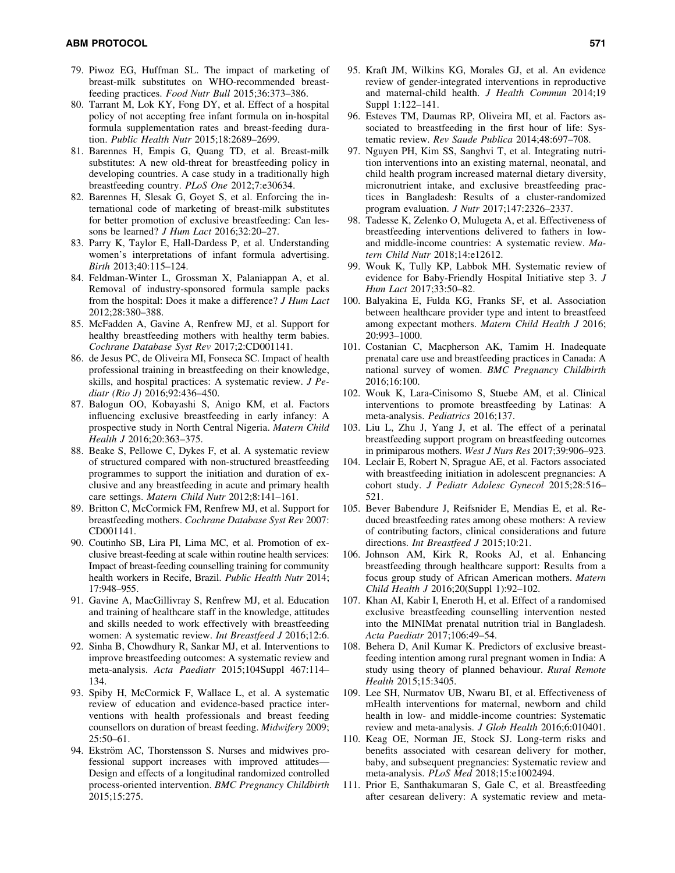- 79. Piwoz EG, Huffman SL. The impact of marketing of breast-milk substitutes on WHO-recommended breastfeeding practices. *Food Nutr Bull* 2015;36:373–386.
- 80. Tarrant M, Lok KY, Fong DY, et al. Effect of a hospital policy of not accepting free infant formula on in-hospital formula supplementation rates and breast-feeding duration. *Public Health Nutr* 2015;18:2689–2699.
- 81. Barennes H, Empis G, Quang TD, et al. Breast-milk substitutes: A new old-threat for breastfeeding policy in developing countries. A case study in a traditionally high breastfeeding country. *PLoS One* 2012;7:e30634.
- 82. Barennes H, Slesak G, Goyet S, et al. Enforcing the international code of marketing of breast-milk substitutes for better promotion of exclusive breastfeeding: Can lessons be learned? *J Hum Lact* 2016;32:20–27.
- 83. Parry K, Taylor E, Hall-Dardess P, et al. Understanding women's interpretations of infant formula advertising. *Birth* 2013;40:115–124.
- 84. Feldman-Winter L, Grossman X, Palaniappan A, et al. Removal of industry-sponsored formula sample packs from the hospital: Does it make a difference? *J Hum Lact* 2012;28:380–388.
- 85. McFadden A, Gavine A, Renfrew MJ, et al. Support for healthy breastfeeding mothers with healthy term babies. *Cochrane Database Syst Rev* 2017;2:CD001141.
- 86. de Jesus PC, de Oliveira MI, Fonseca SC. Impact of health professional training in breastfeeding on their knowledge, skills, and hospital practices: A systematic review. *J Pediatr (Rio J)* 2016;92:436–450.
- 87. Balogun OO, Kobayashi S, Anigo KM, et al. Factors influencing exclusive breastfeeding in early infancy: A prospective study in North Central Nigeria. *Matern Child Health J* 2016;20:363–375.
- 88. Beake S, Pellowe C, Dykes F, et al. A systematic review of structured compared with non-structured breastfeeding programmes to support the initiation and duration of exclusive and any breastfeeding in acute and primary health care settings. *Matern Child Nutr* 2012;8:141–161.
- 89. Britton C, McCormick FM, Renfrew MJ, et al. Support for breastfeeding mothers. *Cochrane Database Syst Rev* 2007: CD001141.
- 90. Coutinho SB, Lira PI, Lima MC, et al. Promotion of exclusive breast-feeding at scale within routine health services: Impact of breast-feeding counselling training for community health workers in Recife, Brazil. *Public Health Nutr* 2014; 17:948–955.
- 91. Gavine A, MacGillivray S, Renfrew MJ, et al. Education and training of healthcare staff in the knowledge, attitudes and skills needed to work effectively with breastfeeding women: A systematic review. *Int Breastfeed J* 2016;12:6.
- 92. Sinha B, Chowdhury R, Sankar MJ, et al. Interventions to improve breastfeeding outcomes: A systematic review and meta-analysis. *Acta Paediatr* 2015;104Suppl 467:114– 134.
- 93. Spiby H, McCormick F, Wallace L, et al. A systematic review of education and evidence-based practice interventions with health professionals and breast feeding counsellors on duration of breast feeding. *Midwifery* 2009; 25:50–61.
- 94. Ekström AC, Thorstensson S. Nurses and midwives professional support increases with improved attitudes— Design and effects of a longitudinal randomized controlled process-oriented intervention. *BMC Pregnancy Childbirth* 2015;15:275.
- 95. Kraft JM, Wilkins KG, Morales GJ, et al. An evidence review of gender-integrated interventions in reproductive and maternal-child health. *J Health Commun* 2014;19 Suppl 1:122–141.
- 96. Esteves TM, Daumas RP, Oliveira MI, et al. Factors associated to breastfeeding in the first hour of life: Systematic review. *Rev Saude Publica* 2014;48:697–708.
- 97. Nguyen PH, Kim SS, Sanghvi T, et al. Integrating nutrition interventions into an existing maternal, neonatal, and child health program increased maternal dietary diversity, micronutrient intake, and exclusive breastfeeding practices in Bangladesh: Results of a cluster-randomized program evaluation. *J Nutr* 2017;147:2326–2337.
- 98. Tadesse K, Zelenko O, Mulugeta A, et al. Effectiveness of breastfeeding interventions delivered to fathers in lowand middle-income countries: A systematic review. *Matern Child Nutr* 2018;14:e12612.
- 99. Wouk K, Tully KP, Labbok MH. Systematic review of evidence for Baby-Friendly Hospital Initiative step 3. *J Hum Lact* 2017;33:50–82.
- 100. Balyakina E, Fulda KG, Franks SF, et al. Association between healthcare provider type and intent to breastfeed among expectant mothers. *Matern Child Health J* 2016; 20:993–1000.
- 101. Costanian C, Macpherson AK, Tamim H. Inadequate prenatal care use and breastfeeding practices in Canada: A national survey of women. *BMC Pregnancy Childbirth* 2016;16:100.
- 102. Wouk K, Lara-Cinisomo S, Stuebe AM, et al. Clinical interventions to promote breastfeeding by Latinas: A meta-analysis. *Pediatrics* 2016;137.
- 103. Liu L, Zhu J, Yang J, et al. The effect of a perinatal breastfeeding support program on breastfeeding outcomes in primiparous mothers. *West J Nurs Res* 2017;39:906–923.
- 104. Leclair E, Robert N, Sprague AE, et al. Factors associated with breastfeeding initiation in adolescent pregnancies: A cohort study. *J Pediatr Adolesc Gynecol* 2015;28:516– 521.
- 105. Bever Babendure J, Reifsnider E, Mendias E, et al. Reduced breastfeeding rates among obese mothers: A review of contributing factors, clinical considerations and future directions. *Int Breastfeed J* 2015;10:21.
- 106. Johnson AM, Kirk R, Rooks AJ, et al. Enhancing breastfeeding through healthcare support: Results from a focus group study of African American mothers. *Matern Child Health J* 2016;20(Suppl 1):92–102.
- 107. Khan AI, Kabir I, Eneroth H, et al. Effect of a randomised exclusive breastfeeding counselling intervention nested into the MINIMat prenatal nutrition trial in Bangladesh. *Acta Paediatr* 2017;106:49–54.
- 108. Behera D, Anil Kumar K. Predictors of exclusive breastfeeding intention among rural pregnant women in India: A study using theory of planned behaviour. *Rural Remote Health* 2015;15:3405.
- 109. Lee SH, Nurmatov UB, Nwaru BI, et al. Effectiveness of mHealth interventions for maternal, newborn and child health in low- and middle-income countries: Systematic review and meta-analysis. *J Glob Health* 2016;6:010401.
- 110. Keag OE, Norman JE, Stock SJ. Long-term risks and benefits associated with cesarean delivery for mother, baby, and subsequent pregnancies: Systematic review and meta-analysis. *PLoS Med* 2018;15:e1002494.
- 111. Prior E, Santhakumaran S, Gale C, et al. Breastfeeding after cesarean delivery: A systematic review and meta-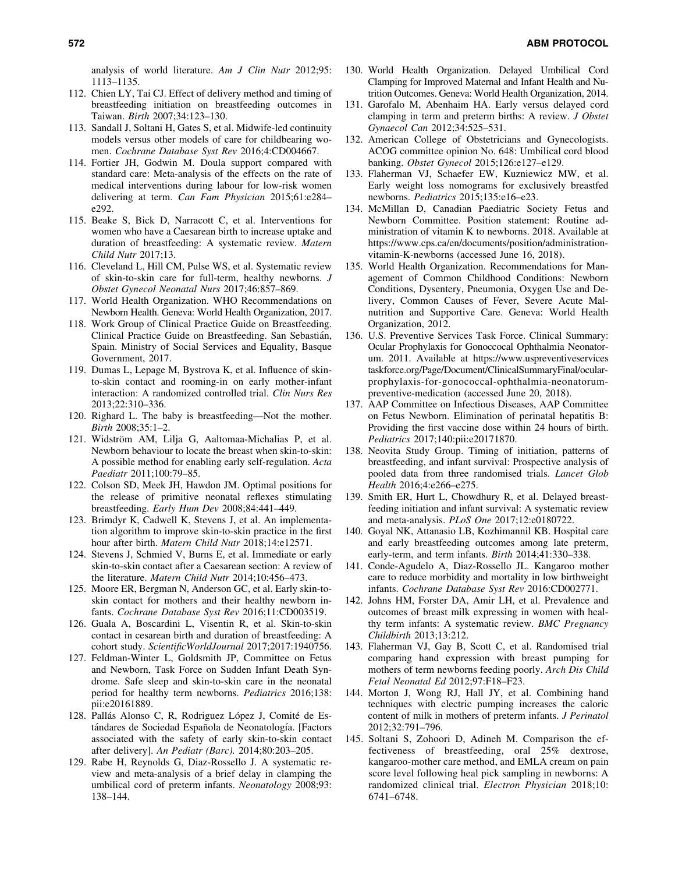analysis of world literature. *Am J Clin Nutr* 2012;95: 1113–1135.

- 112. Chien LY, Tai CJ. Effect of delivery method and timing of breastfeeding initiation on breastfeeding outcomes in Taiwan. *Birth* 2007;34:123–130.
- 113. Sandall J, Soltani H, Gates S, et al. Midwife-led continuity models versus other models of care for childbearing women. *Cochrane Database Syst Rev* 2016;4:CD004667.
- 114. Fortier JH, Godwin M. Doula support compared with standard care: Meta-analysis of the effects on the rate of medical interventions during labour for low-risk women delivering at term. *Can Fam Physician* 2015;61:e284– e292.
- 115. Beake S, Bick D, Narracott C, et al. Interventions for women who have a Caesarean birth to increase uptake and duration of breastfeeding: A systematic review. *Matern Child Nutr* 2017;13.
- 116. Cleveland L, Hill CM, Pulse WS, et al. Systematic review of skin-to-skin care for full-term, healthy newborns. *J Obstet Gynecol Neonatal Nurs* 2017;46:857–869.
- 117. World Health Organization. WHO Recommendations on Newborn Health. Geneva: World Health Organization, 2017.
- 118. Work Group of Clinical Practice Guide on Breastfeeding. Clinical Practice Guide on Breastfeeding. San Sebastia´n, Spain. Ministry of Social Services and Equality, Basque Government, 2017.
- 119. Dumas L, Lepage M, Bystrova K, et al. Influence of skinto-skin contact and rooming-in on early mother-infant interaction: A randomized controlled trial. *Clin Nurs Res* 2013;22:310–336.
- 120. Righard L. The baby is breastfeeding—Not the mother. *Birth* 2008;35:1–2.
- 121. Widström AM, Lilja G, Aaltomaa-Michalias P, et al. Newborn behaviour to locate the breast when skin-to-skin: A possible method for enabling early self-regulation. *Acta Paediatr* 2011;100:79–85.
- 122. Colson SD, Meek JH, Hawdon JM. Optimal positions for the release of primitive neonatal reflexes stimulating breastfeeding. *Early Hum Dev* 2008;84:441–449.
- 123. Brimdyr K, Cadwell K, Stevens J, et al. An implementation algorithm to improve skin-to-skin practice in the first hour after birth. *Matern Child Nutr* 2018;14:e12571.
- 124. Stevens J, Schmied V, Burns E, et al. Immediate or early skin-to-skin contact after a Caesarean section: A review of the literature. *Matern Child Nutr* 2014;10:456–473.
- 125. Moore ER, Bergman N, Anderson GC, et al. Early skin-toskin contact for mothers and their healthy newborn infants. *Cochrane Database Syst Rev* 2016;11:CD003519.
- 126. Guala A, Boscardini L, Visentin R, et al. Skin-to-skin contact in cesarean birth and duration of breastfeeding: A cohort study. *ScientificWorldJournal* 2017;2017:1940756.
- 127. Feldman-Winter L, Goldsmith JP, Committee on Fetus and Newborn, Task Force on Sudden Infant Death Syndrome. Safe sleep and skin-to-skin care in the neonatal period for healthy term newborns. *Pediatrics* 2016;138: pii:e20161889.
- 128. Pallás Alonso C, R, Rodriguez López J, Comité de Estándares de Sociedad Española de Neonatología. [Factors associated with the safety of early skin-to-skin contact after delivery]. *An Pediatr (Barc).* 2014;80:203–205.
- 129. Rabe H, Reynolds G, Diaz-Rossello J. A systematic review and meta-analysis of a brief delay in clamping the umbilical cord of preterm infants. *Neonatology* 2008;93: 138–144.
- 130. World Health Organization. Delayed Umbilical Cord Clamping for Improved Maternal and Infant Health and Nutrition Outcomes. Geneva: World Health Organization, 2014.
- 131. Garofalo M, Abenhaim HA. Early versus delayed cord clamping in term and preterm births: A review. *J Obstet Gynaecol Can* 2012;34:525–531.
- 132. American College of Obstetricians and Gynecologists. ACOG committee opinion No. 648: Umbilical cord blood banking. *Obstet Gynecol* 2015;126:e127–e129.
- 133. Flaherman VJ, Schaefer EW, Kuzniewicz MW, et al. Early weight loss nomograms for exclusively breastfed newborns. *Pediatrics* 2015;135:e16–e23.
- 134. McMillan D, Canadian Paediatric Society Fetus and Newborn Committee. Position statement: Routine administration of vitamin K to newborns. 2018. Available at [https://www.cps.ca/en/documents/position/administration](https://www.cps.ca/en/documents/position/administration-vitamin-K-newborns)[vitamin-K-newborns](https://www.cps.ca/en/documents/position/administration-vitamin-K-newborns) (accessed June 16, 2018).
- 135. World Health Organization. Recommendations for Management of Common Childhood Conditions: Newborn Conditions, Dysentery, Pneumonia, Oxygen Use and Delivery, Common Causes of Fever, Severe Acute Malnutrition and Supportive Care. Geneva: World Health Organization, 2012.
- 136. U.S. Preventive Services Task Force. Clinical Summary: Ocular Prophylaxis for Gonoccocal Ophthalmia Neonatorum. 2011. Available at [https://www.uspreventiveservices](https://www.uspreventiveservicestaskforce.org/Page/Document/ClinicalSummaryFinal/ocular-prophylaxis-for-gonococcal-ophthalmia-neonatorum-preventive-medication) [taskforce.org/Page/Document/ClinicalSummaryFinal/ocular](https://www.uspreventiveservicestaskforce.org/Page/Document/ClinicalSummaryFinal/ocular-prophylaxis-for-gonococcal-ophthalmia-neonatorum-preventive-medication)[prophylaxis-for-gonococcal-ophthalmia-neonatorum](https://www.uspreventiveservicestaskforce.org/Page/Document/ClinicalSummaryFinal/ocular-prophylaxis-for-gonococcal-ophthalmia-neonatorum-preventive-medication)[preventive-medication](https://www.uspreventiveservicestaskforce.org/Page/Document/ClinicalSummaryFinal/ocular-prophylaxis-for-gonococcal-ophthalmia-neonatorum-preventive-medication) (accessed June 20, 2018).
- 137. AAP Committee on Infectious Diseases, AAP Committee on Fetus Newborn. Elimination of perinatal hepatitis B: Providing the first vaccine dose within 24 hours of birth. *Pediatrics* 2017;140:pii:e20171870.
- 138. Neovita Study Group. Timing of initiation, patterns of breastfeeding, and infant survival: Prospective analysis of pooled data from three randomised trials. *Lancet Glob Health* 2016;4:e266–e275.
- 139. Smith ER, Hurt L, Chowdhury R, et al. Delayed breastfeeding initiation and infant survival: A systematic review and meta-analysis. *PLoS One* 2017;12:e0180722.
- 140. Goyal NK, Attanasio LB, Kozhimannil KB. Hospital care and early breastfeeding outcomes among late preterm, early-term, and term infants. *Birth* 2014;41:330–338.
- 141. Conde-Agudelo A, Diaz-Rossello JL. Kangaroo mother care to reduce morbidity and mortality in low birthweight infants. *Cochrane Database Syst Rev* 2016:CD002771.
- 142. Johns HM, Forster DA, Amir LH, et al. Prevalence and outcomes of breast milk expressing in women with healthy term infants: A systematic review. *BMC Pregnancy Childbirth* 2013;13:212.
- 143. Flaherman VJ, Gay B, Scott C, et al. Randomised trial comparing hand expression with breast pumping for mothers of term newborns feeding poorly. *Arch Dis Child Fetal Neonatal Ed* 2012;97:F18–F23.
- 144. Morton J, Wong RJ, Hall JY, et al. Combining hand techniques with electric pumping increases the caloric content of milk in mothers of preterm infants. *J Perinatol* 2012;32:791–796.
- 145. Soltani S, Zohoori D, Adineh M. Comparison the effectiveness of breastfeeding, oral 25% dextrose, kangaroo-mother care method, and EMLA cream on pain score level following heal pick sampling in newborns: A randomized clinical trial. *Electron Physician* 2018;10: 6741–6748.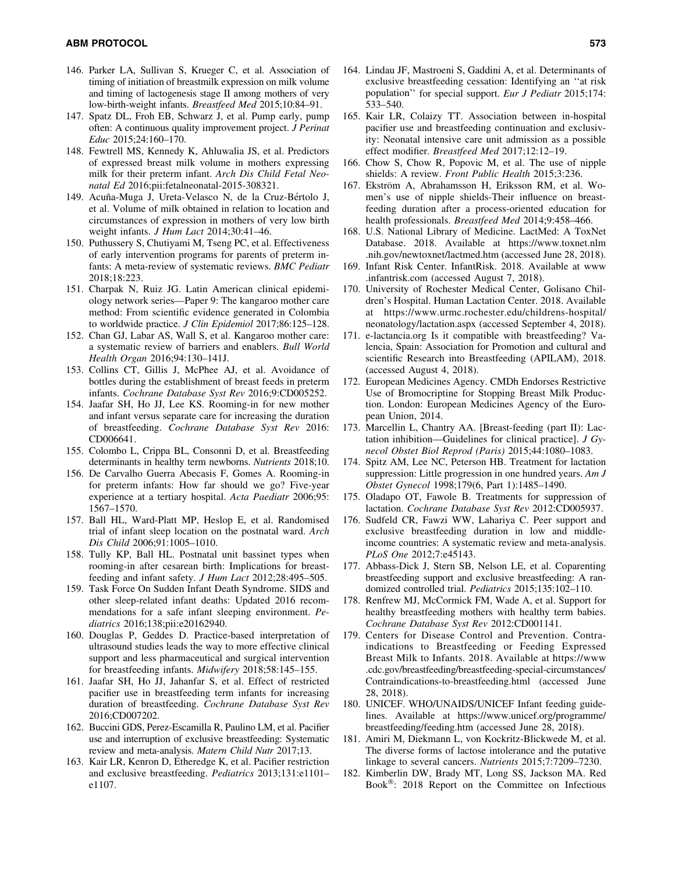- 146. Parker LA, Sullivan S, Krueger C, et al. Association of timing of initiation of breastmilk expression on milk volume and timing of lactogenesis stage II among mothers of very low-birth-weight infants. *Breastfeed Med* 2015;10:84–91.
- 147. Spatz DL, Froh EB, Schwarz J, et al. Pump early, pump often: A continuous quality improvement project. *J Perinat Educ* 2015;24:160–170.
- 148. Fewtrell MS, Kennedy K, Ahluwalia JS, et al. Predictors of expressed breast milk volume in mothers expressing milk for their preterm infant. *Arch Dis Child Fetal Neonatal Ed* 2016;pii:fetalneonatal-2015-308321.
- 149. Acuña-Muga J, Ureta-Velasco N, de la Cruz-Bértolo J, et al. Volume of milk obtained in relation to location and circumstances of expression in mothers of very low birth weight infants. *J Hum Lact* 2014;30:41–46.
- 150. Puthussery S, Chutiyami M, Tseng PC, et al. Effectiveness of early intervention programs for parents of preterm infants: A meta-review of systematic reviews. *BMC Pediatr* 2018;18:223.
- 151. Charpak N, Ruiz JG. Latin American clinical epidemiology network series—Paper 9: The kangaroo mother care method: From scientific evidence generated in Colombia to worldwide practice. *J Clin Epidemiol* 2017;86:125–128.
- 152. Chan GJ, Labar AS, Wall S, et al. Kangaroo mother care: a systematic review of barriers and enablers. *Bull World Health Organ* 2016;94:130–141J.
- 153. Collins CT, Gillis J, McPhee AJ, et al. Avoidance of bottles during the establishment of breast feeds in preterm infants. *Cochrane Database Syst Rev* 2016;9:CD005252.
- 154. Jaafar SH, Ho JJ, Lee KS. Rooming-in for new mother and infant versus separate care for increasing the duration of breastfeeding. *Cochrane Database Syst Rev* 2016: CD006641.
- 155. Colombo L, Crippa BL, Consonni D, et al. Breastfeeding determinants in healthy term newborns. *Nutrients* 2018;10.
- 156. De Carvalho Guerra Abecasis F, Gomes A. Rooming-in for preterm infants: How far should we go? Five-year experience at a tertiary hospital. *Acta Paediatr* 2006;95: 1567–1570.
- 157. Ball HL, Ward-Platt MP, Heslop E, et al. Randomised trial of infant sleep location on the postnatal ward. *Arch Dis Child* 2006;91:1005–1010.
- 158. Tully KP, Ball HL. Postnatal unit bassinet types when rooming-in after cesarean birth: Implications for breastfeeding and infant safety. *J Hum Lact* 2012;28:495–505.
- 159. Task Force On Sudden Infant Death Syndrome. SIDS and other sleep-related infant deaths: Updated 2016 recommendations for a safe infant sleeping environment. *Pediatrics* 2016;138;pii:e20162940.
- 160. Douglas P, Geddes D. Practice-based interpretation of ultrasound studies leads the way to more effective clinical support and less pharmaceutical and surgical intervention for breastfeeding infants. *Midwifery* 2018;58:145–155.
- 161. Jaafar SH, Ho JJ, Jahanfar S, et al. Effect of restricted pacifier use in breastfeeding term infants for increasing duration of breastfeeding. *Cochrane Database Syst Rev* 2016;CD007202.
- 162. Buccini GDS, Perez-Escamilla R, Paulino LM, et al. Pacifier use and interruption of exclusive breastfeeding: Systematic review and meta-analysis. *Matern Child Nutr* 2017;13.
- 163. Kair LR, Kenron D, Etheredge K, et al. Pacifier restriction and exclusive breastfeeding. *Pediatrics* 2013;131:e1101– e1107.
- 164. Lindau JF, Mastroeni S, Gaddini A, et al. Determinants of exclusive breastfeeding cessation: Identifying an ''at risk population'' for special support. *Eur J Pediatr* 2015;174: 533–540.
- 165. Kair LR, Colaizy TT. Association between in-hospital pacifier use and breastfeeding continuation and exclusivity: Neonatal intensive care unit admission as a possible effect modifier. *Breastfeed Med* 2017;12:12–19.
- 166. Chow S, Chow R, Popovic M, et al. The use of nipple shields: A review. *Front Public Health* 2015;3:236.
- 167. Ekström A, Abrahamsson H, Eriksson RM, et al. Women's use of nipple shields-Their influence on breastfeeding duration after a process-oriented education for health professionals. *Breastfeed Med* 2014;9:458–466.
- 168. U.S. National Library of Medicine. LactMed: A ToxNet Database. 2018. Available at [https://www.toxnet.nlm](https://www.toxnet.nlm.nih.gov/newtoxnet/lactmed.htm) [.nih.gov/newtoxnet/lactmed.htm](https://www.toxnet.nlm.nih.gov/newtoxnet/lactmed.htm) (accessed June 28, 2018).
- 169. Infant Risk Center. InfantRisk. 2018. Available at [www](http://www.infantrisk.com) [.infantrisk.com](http://www.infantrisk.com) (accessed August 7, 2018).
- 170. University of Rochester Medical Center, Golisano Children's Hospital. Human Lactation Center. 2018. Available at [https://www.urmc.rochester.edu/childrens-hospital/](https://www.urmc.rochester.edu/childrens-hospital/neonatology/lactation.aspx) [neonatology/lactation.aspx](https://www.urmc.rochester.edu/childrens-hospital/neonatology/lactation.aspx) (accessed September 4, 2018).
- 171. e-lactancia.org Is it compatible with breastfeeding? Valencia, Spain: Association for Promotion and cultural and scientific Research into Breastfeeding (APILAM), 2018. (accessed August 4, 2018).
- 172. European Medicines Agency. CMDh Endorses Restrictive Use of Bromocriptine for Stopping Breast Milk Production. London: European Medicines Agency of the European Union, 2014.
- 173. Marcellin L, Chantry AA. [Breast-feeding (part II): Lactation inhibition—Guidelines for clinical practice]. *J Gynecol Obstet Biol Reprod (Paris)* 2015;44:1080–1083.
- 174. Spitz AM, Lee NC, Peterson HB. Treatment for lactation suppression: Little progression in one hundred years. *Am J Obstet Gynecol* 1998;179(6, Part 1):1485–1490.
- 175. Oladapo OT, Fawole B. Treatments for suppression of lactation. *Cochrane Database Syst Rev* 2012:CD005937.
- 176. Sudfeld CR, Fawzi WW, Lahariya C. Peer support and exclusive breastfeeding duration in low and middleincome countries: A systematic review and meta-analysis. *PLoS One* 2012;7:e45143.
- 177. Abbass-Dick J, Stern SB, Nelson LE, et al. Coparenting breastfeeding support and exclusive breastfeeding: A randomized controlled trial. *Pediatrics* 2015;135:102–110.
- 178. Renfrew MJ, McCormick FM, Wade A, et al. Support for healthy breastfeeding mothers with healthy term babies. *Cochrane Database Syst Rev* 2012:CD001141.
- 179. Centers for Disease Control and Prevention. Contraindications to Breastfeeding or Feeding Expressed Breast Milk to Infants. 2018. Available at [https://www](https://www.cdc.gov/breastfeeding/breastfeeding-special-circumstances/Contraindications-to-breastfeeding.html) [.cdc.gov/breastfeeding/breastfeeding-special-circumstances/](https://www.cdc.gov/breastfeeding/breastfeeding-special-circumstances/Contraindications-to-breastfeeding.html) [Contraindications-to-breastfeeding.html](https://www.cdc.gov/breastfeeding/breastfeeding-special-circumstances/Contraindications-to-breastfeeding.html) (accessed June 28, 2018).
- 180. UNICEF. WHO/UNAIDS/UNICEF Infant feeding guidelines. Available at [https://www.unicef.org/programme/](https://www.unicef.org/programme/breastfeeding/feeding.htm) [breastfeeding/feeding.htm](https://www.unicef.org/programme/breastfeeding/feeding.htm) (accessed June 28, 2018).
- 181. Amiri M, Diekmann L, von Kockritz-Blickwede M, et al. The diverse forms of lactose intolerance and the putative linkage to several cancers. *Nutrients* 2015;7:7209–7230.
- 182. Kimberlin DW, Brady MT, Long SS, Jackson MA. Red Book<sup>®</sup>: 2018 Report on the Committee on Infectious